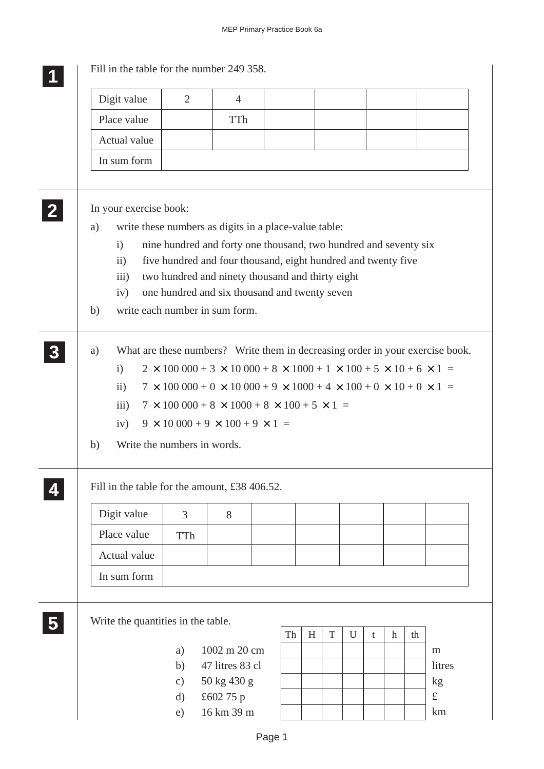|                        | Digit value                                                                                                                     | $\overline{2}$                     | $\overline{4}$                                                   |    |   |             |   |   |                           |    |                 |
|------------------------|---------------------------------------------------------------------------------------------------------------------------------|------------------------------------|------------------------------------------------------------------|----|---|-------------|---|---|---------------------------|----|-----------------|
| Place value            |                                                                                                                                 |                                    | <b>TTh</b>                                                       |    |   |             |   |   |                           |    |                 |
| Actual value           |                                                                                                                                 |                                    |                                                                  |    |   |             |   |   |                           |    |                 |
| In sum form            |                                                                                                                                 |                                    |                                                                  |    |   |             |   |   |                           |    |                 |
|                        |                                                                                                                                 |                                    |                                                                  |    |   |             |   |   |                           |    |                 |
| In your exercise book: |                                                                                                                                 |                                    |                                                                  |    |   |             |   |   |                           |    |                 |
| a)                     |                                                                                                                                 |                                    | write these numbers as digits in a place-value table:            |    |   |             |   |   |                           |    |                 |
| $\mathbf{i}$           |                                                                                                                                 |                                    | nine hundred and forty one thousand, two hundred and seventy six |    |   |             |   |   |                           |    |                 |
| $\overline{111}$       | five hundred and four thousand, eight hundred and twenty five<br>$\ddot{i}$<br>two hundred and ninety thousand and thirty eight |                                    |                                                                  |    |   |             |   |   |                           |    |                 |
| iv)                    |                                                                                                                                 |                                    | one hundred and six thousand and twenty seven                    |    |   |             |   |   |                           |    |                 |
| b)                     |                                                                                                                                 |                                    | write each number in sum form.                                   |    |   |             |   |   |                           |    |                 |
| a)                     | What are these numbers? Write them in decreasing order in your exercise book.                                                   |                                    |                                                                  |    |   |             |   |   |                           |    |                 |
| $\mathbf{i}$           | $2 \times 100\,000 + 3 \times 10\,000 + 8 \times 1000 + 1 \times 100 + 5 \times 10 + 6 \times 1 =$                              |                                    |                                                                  |    |   |             |   |   |                           |    |                 |
| $\mathbf{ii}$          | $7 \times 100\,000 + 0 \times 10\,000 + 9 \times 1000 + 4 \times 100 + 0 \times 10 + 0 \times 1 =$                              |                                    |                                                                  |    |   |             |   |   |                           |    |                 |
|                        | $7 \times 100\,000 + 8 \times 1000 + 8 \times 100 + 5 \times 1 =$<br>iii)                                                       |                                    |                                                                  |    |   |             |   |   |                           |    |                 |
|                        | $9 \times 10\,000 + 9 \times 100 + 9 \times 1 =$<br>iv)                                                                         |                                    |                                                                  |    |   |             |   |   |                           |    |                 |
| b)                     |                                                                                                                                 |                                    | Write the numbers in words.                                      |    |   |             |   |   |                           |    |                 |
|                        |                                                                                                                                 |                                    |                                                                  |    |   |             |   |   |                           |    |                 |
|                        |                                                                                                                                 |                                    | Fill in the table for the amount, £38 406.52.                    |    |   |             |   |   |                           |    |                 |
| Digit value            |                                                                                                                                 | 3                                  | 8                                                                |    |   |             |   |   |                           |    |                 |
| Place value            |                                                                                                                                 | TTh                                |                                                                  |    |   |             |   |   |                           |    |                 |
| Actual value           |                                                                                                                                 |                                    |                                                                  |    |   |             |   |   |                           |    |                 |
| In sum form            |                                                                                                                                 |                                    |                                                                  |    |   |             |   |   |                           |    |                 |
|                        |                                                                                                                                 |                                    |                                                                  |    |   |             |   |   |                           |    |                 |
|                        |                                                                                                                                 | Write the quantities in the table. |                                                                  |    |   |             |   |   |                           |    |                 |
|                        |                                                                                                                                 | a)                                 | 1002 m 20 cm                                                     | Th | H | $\mathbf T$ | U | t | $\boldsymbol{\mathrm{h}}$ | th | m               |
|                        |                                                                                                                                 | b)                                 | 47 litres 83 cl                                                  |    |   |             |   |   |                           |    | litres          |
|                        |                                                                                                                                 | $\mathbf{c})$                      | 50 kg 430 g<br>£602 75 p                                         |    |   |             |   |   |                           |    | kg<br>$\pounds$ |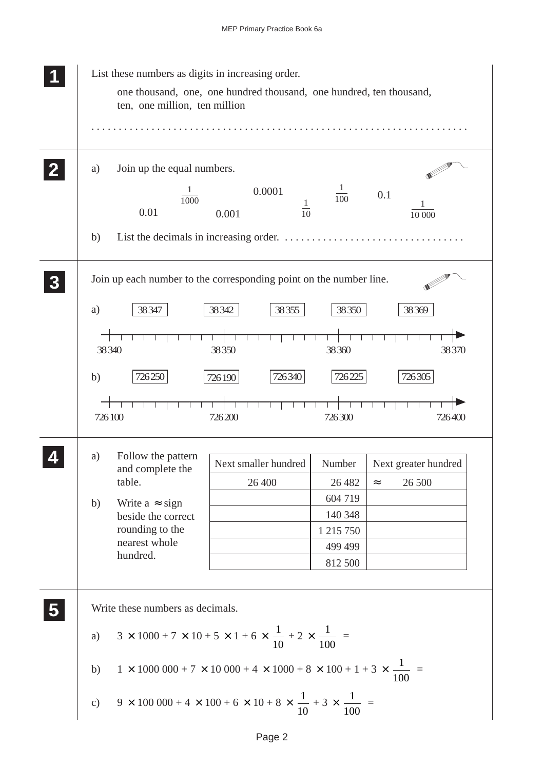| List these numbers as digits in increasing order.<br>ten, one million, ten million                                                                           | one thousand, one, one hundred thousand, one hundred, ten thousand,                                                                                                                                                                                                                                         |                                                                            |                                                  |
|--------------------------------------------------------------------------------------------------------------------------------------------------------------|-------------------------------------------------------------------------------------------------------------------------------------------------------------------------------------------------------------------------------------------------------------------------------------------------------------|----------------------------------------------------------------------------|--------------------------------------------------|
| Join up the equal numbers.<br>a)<br>$\overline{1000}$<br>0.01<br>b)                                                                                          | 0.0001<br>$\frac{1}{10}$<br>0.001                                                                                                                                                                                                                                                                           | $\frac{1}{100}$                                                            | 0.1<br>10 000                                    |
| Join up each number to the corresponding point on the number line.<br>a)<br>38347<br>38340<br>726250<br>b)<br>726100                                         | 38342<br>38355<br>38350<br>726340<br>726190<br>726200                                                                                                                                                                                                                                                       | 38350<br>38360<br>726225<br>726300                                         | 38369<br>38370<br>726305<br>726400               |
| Follow the pattern<br>a)<br>and complete the<br>table.<br>Write $a \approx sign$<br>b)<br>beside the correct<br>rounding to the<br>nearest whole<br>hundred. | Next smaller hundred<br>26 400                                                                                                                                                                                                                                                                              | Number<br>26 4 82<br>604 719<br>140 348<br>1 215 750<br>499 499<br>812 500 | Next greater hundred<br>26 500<br>$\thickapprox$ |
| Write these numbers as decimals.<br>a)<br>b)<br>$\mathbf{c})$                                                                                                | $3 \times 1000 + 7 \times 10 + 5 \times 1 + 6 \times \frac{1}{10} + 2 \times \frac{1}{100} =$<br>$1 \times 1000\,000 + 7 \times 10\,000 + 4 \times 1000 + 8 \times 100 + 1 + 3 \times \frac{1}{100}$<br>$9 \times 100\,000 + 4 \times 100 + 6 \times 10 + 8 \times \frac{1}{10} + 3 \times \frac{1}{100} =$ |                                                                            |                                                  |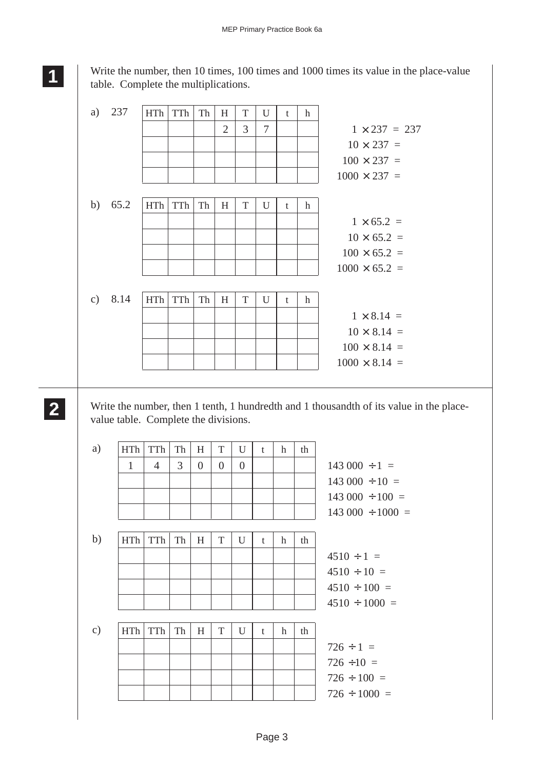Write the number, then 10 times, 100 times and 1000 times its value in the place-value table. Complete the multiplications.

| a)            | 237  | HTh        | TTh | Th | H              | T           | U | t | h           |                      |
|---------------|------|------------|-----|----|----------------|-------------|---|---|-------------|----------------------|
|               |      |            |     |    | $\overline{2}$ | 3           | 7 |   |             | $1 \times 237 = 237$ |
|               |      |            |     |    |                |             |   |   |             | $10 \times 237 =$    |
|               |      |            |     |    |                |             |   |   |             | $100 \times 237 =$   |
|               |      |            |     |    |                |             |   |   |             | $1000 \times 237 =$  |
|               |      |            |     |    |                |             |   |   |             |                      |
| b)            | 65.2 | <b>HTh</b> | TTh | Th | H              | T           | U | t | h           |                      |
|               |      |            |     |    |                |             |   |   |             | $1 \times 65.2 =$    |
|               |      |            |     |    |                |             |   |   |             | $10 \times 65.2 =$   |
|               |      |            |     |    |                |             |   |   |             | $100 \times 65.2 =$  |
|               |      |            |     |    |                |             |   |   |             | $1000 \times 65.2 =$ |
|               |      |            |     |    |                |             |   |   |             |                      |
| $\mathbf{c})$ | 8.14 | <b>HTh</b> | TTh | Th | H              | $\mathbf T$ | U | t | $\mathbf h$ |                      |
|               |      |            |     |    |                |             |   |   |             | $1 \times 8.14 =$    |
|               |      |            |     |    |                |             |   |   |             | $10 \times 8.14 =$   |
|               |      |            |     |    |                |             |   |   |             | $100 \times 8.14 =$  |
|               |      |            |     |    |                |             |   |   |             | $1000 \times 8.14 =$ |
|               |      |            |     |    |                |             |   |   |             |                      |

Write the number, then 1 tenth, 1 hundredth and 1 thousandth of its value in the placevalue table. Complete the divisions.

| a)            | <b>HTh</b> | <b>TTh</b> | Th | H              | T              | U        | t            | h           | th |                        |
|---------------|------------|------------|----|----------------|----------------|----------|--------------|-------------|----|------------------------|
|               | 1          | 4          | 3  | $\overline{0}$ | $\overline{0}$ | $\theta$ |              |             |    | $143\,000 \div 1 =$    |
|               |            |            |    |                |                |          |              |             |    | $143\,000 \div 10 =$   |
|               |            |            |    |                |                |          |              |             |    | $143\,000 \div 100 =$  |
|               |            |            |    |                |                |          |              |             |    | $143\,000 \div 1000 =$ |
|               |            |            |    |                |                |          |              |             |    |                        |
| b)            | <b>HTh</b> | TTh        | Th | H              | T              | U        | t            | h           | th |                        |
|               |            |            |    |                |                |          |              |             |    | $4510 \div 1 =$        |
|               |            |            |    |                |                |          |              |             |    | $4510 \div 10 =$       |
|               |            |            |    |                |                |          |              |             |    | $4510 \div 100 =$      |
|               |            |            |    |                |                |          |              |             |    | $4510 \div 1000 =$     |
|               |            |            |    |                |                |          |              |             |    |                        |
| $\mathbf{c})$ | <b>HTh</b> | TTh        | Th | H              | T              | U        | $\mathbf{t}$ | $\mathbf h$ | th |                        |
|               |            |            |    |                |                |          |              |             |    | $726 \div 1 =$         |
|               |            |            |    |                |                |          |              |             |    | $726 \div 10 =$        |
|               |            |            |    |                |                |          |              |             |    | $726 \div 100 =$       |
|               |            |            |    |                |                |          |              |             |    | $726 \div 1000 =$      |

**2 22 22**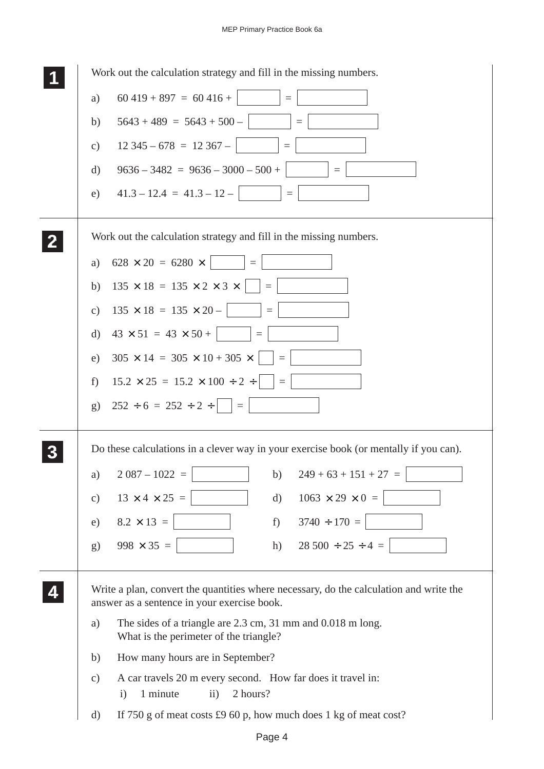| Work out the calculation strategy and fill in the missing numbers.                                                                      |
|-----------------------------------------------------------------------------------------------------------------------------------------|
| $60\,419 + 897 = 60\,416 +$ $\vert$ =<br>a)                                                                                             |
| $5643 + 489 = 5643 + 500 -$<br>$\equiv$<br>b)                                                                                           |
| $12\,345 - 678 = 12\,367 -$<br>$\equiv$<br>c)                                                                                           |
| $9636 - 3482 = 9636 - 3000 - 500 +$<br>d)<br>$=$                                                                                        |
| $41.3 - 12.4 = 41.3 - 12 -$<br>e)                                                                                                       |
| Work out the calculation strategy and fill in the missing numbers.                                                                      |
| $628 \times 20 = 6280 \times$      <br>a)                                                                                               |
| $135 \times 18 = 135 \times 2 \times 3 \times$    =<br>b)                                                                               |
| $135 \times 18 = 135 \times 20 -$<br>$\equiv$<br>$\mathbf{c})$                                                                          |
| $43 \times 51 = 43 \times 50 +$   =<br>d)                                                                                               |
| $305 \times 14 = 305 \times 10 + 305 \times$     =<br>e)                                                                                |
| $15.2 \times 25 = 15.2 \times 100 \div 2 \div$     =  <br>$f$ )                                                                         |
| $252 \div 6 = 252 \div 2 \div$     =  <br>g)                                                                                            |
| Do these calculations in a clever way in your exercise book (or mentally if you can).                                                   |
| $2087 - 1022 =$<br>$249 + 63 + 151 + 27 =$<br>b)<br>a)                                                                                  |
| $13 \times 4 \times 25 =$<br>$1063 \times 29 \times 0 =$<br>$\rm d$<br>$\mathbf{c})$                                                    |
| $3740 \div 170 =$<br>e) $8.2 \times 13 =$<br>$f$ )                                                                                      |
| $998 \times 35 =$<br>$28\,500 \div 25 \div 4 =$<br>h)<br>g)                                                                             |
| Write a plan, convert the quantities where necessary, do the calculation and write the<br>answer as a sentence in your exercise book.   |
| The sides of a triangle are 2.3 cm, 31 mm and 0.018 m long.<br>a)<br>What is the perimeter of the triangle?                             |
| How many hours are in September?<br>b)                                                                                                  |
| A car travels 20 m every second. How far does it travel in:<br>$\mathbf{c})$<br>1 minute<br>$\mathbf{ii}$ )<br>2 hours?<br>$\mathbf{i}$ |
| If 750 g of meat costs $\text{\pounds}960$ p, how much does 1 kg of meat cost?<br>$\mathbf{d}$                                          |
| Page 4                                                                                                                                  |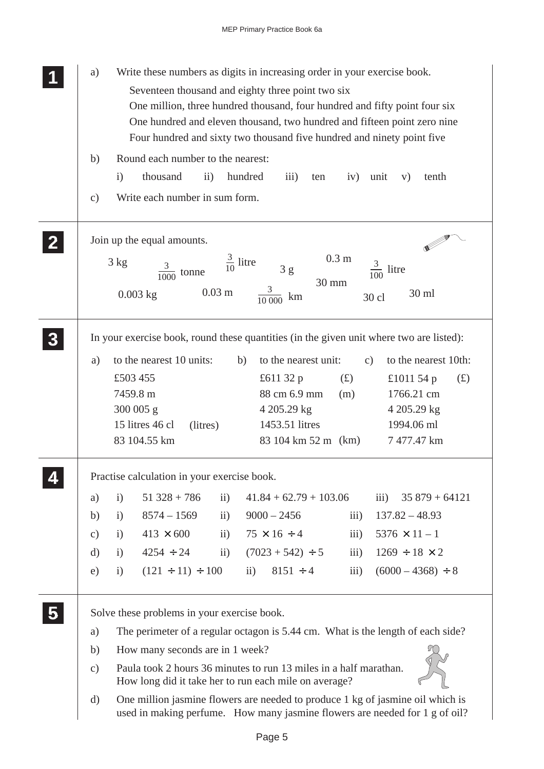| Write these numbers as digits in increasing order in your exercise book.<br>a)                                                                                            |  |  |  |  |  |  |  |  |
|---------------------------------------------------------------------------------------------------------------------------------------------------------------------------|--|--|--|--|--|--|--|--|
| Seventeen thousand and eighty three point two six<br>One million, three hundred thousand, four hundred and fifty point four six                                           |  |  |  |  |  |  |  |  |
| One hundred and eleven thousand, two hundred and fifteen point zero nine                                                                                                  |  |  |  |  |  |  |  |  |
| Four hundred and sixty two thousand five hundred and ninety point five                                                                                                    |  |  |  |  |  |  |  |  |
| Round each number to the nearest:<br>b)                                                                                                                                   |  |  |  |  |  |  |  |  |
| thousand<br>hundred<br>$\mathbf{i}$<br>$\rm ii)$<br>$\overline{iii}$<br>iv)<br>unit<br>tenth<br>V)<br>ten                                                                 |  |  |  |  |  |  |  |  |
| Write each number in sum form.<br>$\mathbf{c})$                                                                                                                           |  |  |  |  |  |  |  |  |
| Join up the equal amounts.                                                                                                                                                |  |  |  |  |  |  |  |  |
| 0.3 <sub>m</sub><br>$\frac{3}{10}$ litre<br>3 kg<br>$\frac{3}{100}$ litre<br>$\frac{3}{1000}$ tonne<br>3g<br>30 mm                                                        |  |  |  |  |  |  |  |  |
| $0.03 \text{ m}$<br>30 ml<br>$0.003$ kg<br>km<br>30 cl                                                                                                                    |  |  |  |  |  |  |  |  |
| In your exercise book, round these quantities (in the given unit where two are listed):                                                                                   |  |  |  |  |  |  |  |  |
| to the nearest 10 units:<br>b)<br>to the nearest unit:<br>to the nearest 10th:<br>a)<br>$\mathbf{c})$                                                                     |  |  |  |  |  |  |  |  |
| £503 455<br>£611 32 p<br>(f)<br>£1011 54 $p$<br>(f)                                                                                                                       |  |  |  |  |  |  |  |  |
| 88 cm 6.9 mm<br>7459.8 m<br>1766.21 cm<br>(m)                                                                                                                             |  |  |  |  |  |  |  |  |
| 300 005 g<br>4 205.29 kg<br>4 205.29 kg                                                                                                                                   |  |  |  |  |  |  |  |  |
| 15 litres 46 cl<br>1453.51 litres<br>1994.06 ml<br>(litres)                                                                                                               |  |  |  |  |  |  |  |  |
| 83 104.55 km<br>83 104 km 52 m (km)<br>7477.47 km                                                                                                                         |  |  |  |  |  |  |  |  |
| Practise calculation in your exercise book.                                                                                                                               |  |  |  |  |  |  |  |  |
| $51\,328 + 786$<br>$41.84 + 62.79 + 103.06$<br>$35879 + 64121$<br>$\mathbf{ii}$<br>$\overline{iii}$ )<br>a)<br>$\mathbf{i}$                                               |  |  |  |  |  |  |  |  |
| $8574 - 1569$<br>$9000 - 2456$<br>iii)<br>$137.82 - 48.93$<br>$\mathbf{i}$<br>b)<br>$\mathbf{ii}$                                                                         |  |  |  |  |  |  |  |  |
| $75 \times 16 \div 4$<br>iii)<br>$5376 \times 11 - 1$<br>$413 \times 600$<br>$\mathbf{ii}$<br>$\mathbf{i}$<br>$\mathbf{c})$                                               |  |  |  |  |  |  |  |  |
| $(7023 + 542) \div 5$<br>$4254 \div 24$<br>$1269 \div 18 \times 2$<br>$\mathbf{d}$<br>$\mathbf{i}$<br>$\ddot{\mathbf{i}}$<br>$\overline{111}$ )                           |  |  |  |  |  |  |  |  |
| $(121 \div 11) \div 100$<br>$\mathbf{ii}$ )<br>$8151 \div 4$<br>iii)<br>$(6000 - 4368) \div 8$<br>$\mathbf{i}$<br>e)                                                      |  |  |  |  |  |  |  |  |
| Solve these problems in your exercise book.                                                                                                                               |  |  |  |  |  |  |  |  |
| The perimeter of a regular octagon is 5.44 cm. What is the length of each side?<br>a)                                                                                     |  |  |  |  |  |  |  |  |
| How many seconds are in 1 week?<br>b)                                                                                                                                     |  |  |  |  |  |  |  |  |
| Paula took 2 hours 36 minutes to run 13 miles in a half marathan.<br>$\mathbf{c})$<br>How long did it take her to run each mile on average?                               |  |  |  |  |  |  |  |  |
| One million jasmine flowers are needed to produce 1 kg of jasmine oil which is<br>$\rm d)$<br>used in making perfume. How many jasmine flowers are needed for 1 g of oil? |  |  |  |  |  |  |  |  |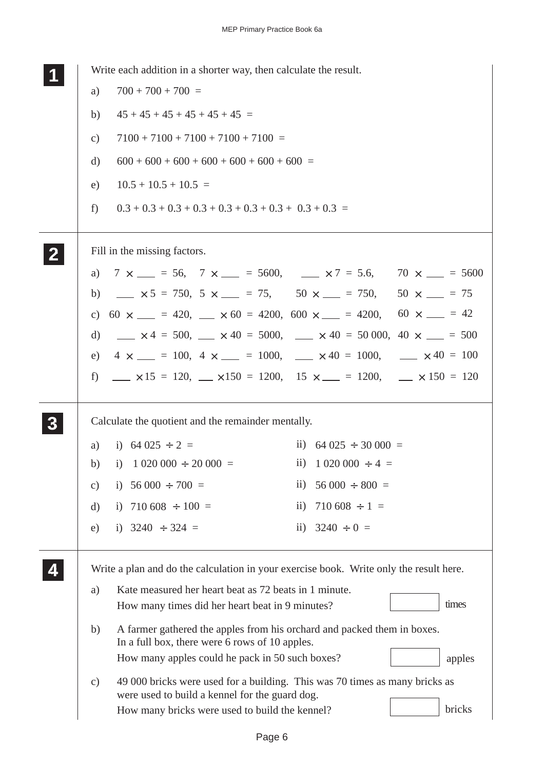| Write each addition in a shorter way, then calculate the result.                                                                               |
|------------------------------------------------------------------------------------------------------------------------------------------------|
| $700 + 700 + 700 =$<br>a)                                                                                                                      |
| $45 + 45 + 45 + 45 + 45 + 45 =$<br>b)                                                                                                          |
| $7100 + 7100 + 7100 + 7100 + 7100 =$<br>$\mathbf{c})$                                                                                          |
| $600 + 600 + 600 + 600 + 600 + 600 + 600 =$<br>d)                                                                                              |
| $10.5 + 10.5 + 10.5 =$<br>e)                                                                                                                   |
| f                                                                                                                                              |
| Fill in the missing factors.                                                                                                                   |
| a) $7 \times \_ = 56$ , $7 \times \_ = 5600$ , $\_ \times 7 = 5.6$ , $70 \times \_ = 5600$                                                     |
| $\frac{1}{2}$ $\times$ 5 = 750, 5 $\times$ $\frac{1}{2}$ = 75, 50 $\times$ $\frac{1}{2}$ = 750, 50 $\times$ $\frac{1}{2}$ = 75<br>b)           |
| c) $60 \times \_$ = 420, $\_$ $\times$ 60 = 4200, $600 \times \_$ = 4200, $60 \times \_$ = 42                                                  |
| $\mu$ × 4 = 500, $\mu$ × 40 = 5000, $\mu$ × 40 = 50 000, 40 × $\mu$ = 500<br>d)                                                                |
| $4 \times \_ = 100, \ 4 \times \_ = 1000, \ \_ \times 40 = 1000, \ \_ \times 40 = 100$<br>e)                                                   |
| f) $\Delta x$ 15 = 120, $\Delta x$ 150 = 1200, 15 $\times$ = 1200, $\Delta x$ 150 = 120                                                        |
| Calculate the quotient and the remainder mentally.                                                                                             |
| i) $64\,025 \div 2 =$<br>ii) $64\,025 \div 30\,000 =$<br>a)                                                                                    |
| i) $1\ 020\ 000 \div 20\ 000 =$<br>ii) $1\,020\,000 \div 4 =$<br>b)                                                                            |
| i) $56\,000 \div 700 =$<br>$56000 \div 800 =$<br>$\overline{11}$ )<br>$\mathbf{c})$                                                            |
| $710\,608 \div 1 =$<br>i) 710 608 $\div$ 100 =<br>$\overline{11}$ )<br>d)                                                                      |
| ii) $3240 \div 0 =$<br>i) $3240 \div 324 =$<br>e)                                                                                              |
| Write a plan and do the calculation in your exercise book. Write only the result here.                                                         |
| Kate measured her heart beat as 72 beats in 1 minute.<br>a)                                                                                    |
| times<br>How many times did her heart beat in 9 minutes?                                                                                       |
| A farmer gathered the apples from his orchard and packed them in boxes.<br>b)<br>In a full box, there were 6 rows of 10 apples.                |
| How many apples could he pack in 50 such boxes?<br>apples                                                                                      |
| 49 000 bricks were used for a building. This was 70 times as many bricks as<br>$\mathbf{c})$<br>were used to build a kennel for the guard dog. |
| bricks<br>How many bricks were used to build the kennel?                                                                                       |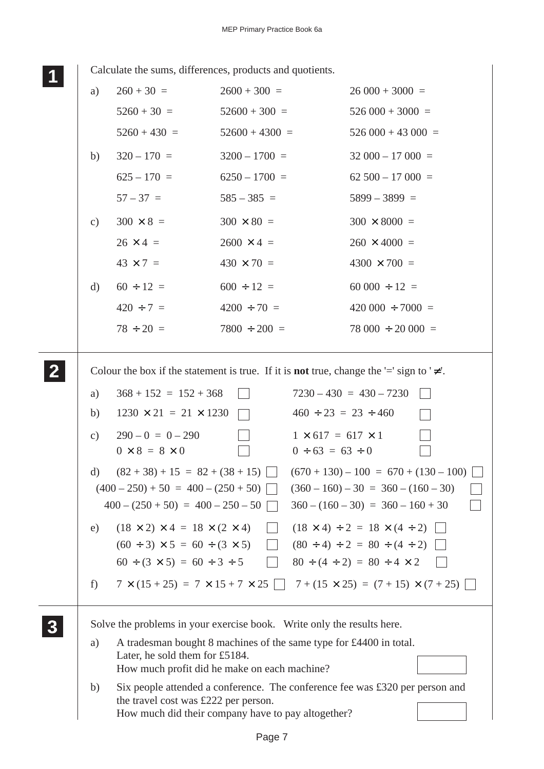$\overline{\phantom{a}}$ 

**<sup>11</sup>** Calculate the sums, differences, products and quotients.

|                           | Calculate the sums, differences, products and quotients.                                                                                                                                                                                                                                                       |                   |                                                          |                                                                                                                                                                                                                                                                    |  |
|---------------------------|----------------------------------------------------------------------------------------------------------------------------------------------------------------------------------------------------------------------------------------------------------------------------------------------------------------|-------------------|----------------------------------------------------------|--------------------------------------------------------------------------------------------------------------------------------------------------------------------------------------------------------------------------------------------------------------------|--|
| a)                        | $260 + 30 =$                                                                                                                                                                                                                                                                                                   | $2600 + 300 =$    |                                                          | $26000 + 3000 =$                                                                                                                                                                                                                                                   |  |
|                           | $5260 + 30 =$                                                                                                                                                                                                                                                                                                  | $52600 + 300 =$   |                                                          | $526\,000 + 3000 =$                                                                                                                                                                                                                                                |  |
|                           | $5260 + 430 =$                                                                                                                                                                                                                                                                                                 | $52600 + 4300 =$  |                                                          | $526\,000 + 43\,000 =$                                                                                                                                                                                                                                             |  |
| b)                        | $320 - 170 =$                                                                                                                                                                                                                                                                                                  | $3200 - 1700 =$   |                                                          | $32\,000 - 17\,000 =$                                                                                                                                                                                                                                              |  |
|                           | $625 - 170 =$                                                                                                                                                                                                                                                                                                  | $6250 - 1700 =$   |                                                          | $62\,500 - 17\,000 =$                                                                                                                                                                                                                                              |  |
|                           | $57 - 37 =$                                                                                                                                                                                                                                                                                                    | $585 - 385 =$     |                                                          | $5899 - 3899 =$                                                                                                                                                                                                                                                    |  |
| $\mathbf{c})$             | $300 \times 8 =$                                                                                                                                                                                                                                                                                               | $300 \times 80 =$ |                                                          | $300 \times 8000 =$                                                                                                                                                                                                                                                |  |
|                           | $26 \times 4 =$                                                                                                                                                                                                                                                                                                | $2600 \times 4 =$ |                                                          | $260 \times 4000 =$                                                                                                                                                                                                                                                |  |
|                           | $43 \times 7 =$                                                                                                                                                                                                                                                                                                | $430 \times 70 =$ |                                                          | $4300 \times 700 =$                                                                                                                                                                                                                                                |  |
| d)                        | $60 \div 12 =$                                                                                                                                                                                                                                                                                                 | $600 \div 12 =$   |                                                          | $60000 \div 12 =$                                                                                                                                                                                                                                                  |  |
|                           | $420 \div 7 =$                                                                                                                                                                                                                                                                                                 | $4200 \div 70 =$  |                                                          | $420\,000 \div 7000 =$                                                                                                                                                                                                                                             |  |
|                           | $78 \div 20 =$                                                                                                                                                                                                                                                                                                 | $7800 \div 200 =$ |                                                          | $78\,000 \div 20\,000 =$                                                                                                                                                                                                                                           |  |
| $\mathbf{c})$<br>d)<br>e) | $290-0 = 0-290$<br>$0 \times 8 = 8 \times 0$<br>$(82+38) + 15 = 82 + (38+15)$<br>$(400-250) + 50 = 400 - (250 + 50)$<br>$400 - (250 + 50) = 400 - 250 - 50$<br>$(18 \times 2) \times 4 = 18 \times (2 \times 4)$<br>$(60 \div 3) \times 5 = 60 \div (3 \times 5)$<br>$60 \div (3 \times 5) = 60 \div 3 \div 5$ |                   | $1 \times 617 = 617 \times 1$<br>$0 \div 63 = 63 \div 0$ | $(670 + 130) - 100 = 670 + (130 - 100)$<br>$(360 - 160) - 30 = 360 - (160 - 30)$<br>$360 - (160 - 30) = 360 - 160 + 30$<br>$(18 \times 4) \div 2 = 18 \times (4 \div 2)$<br>$(80 \div 4) \div 2 = 80 \div (4 \div 2)$<br>$80 \div (4 \div 2) = 80 \div 4 \times 2$ |  |
| f)                        | $7 \times (15 + 25) = 7 \times 15 + 7 \times 25$   $7 + (15 \times 25) = (7 + 15) \times (7 + 25)$                                                                                                                                                                                                             |                   |                                                          |                                                                                                                                                                                                                                                                    |  |
|                           | Solve the problems in your exercise book. Write only the results here.                                                                                                                                                                                                                                         |                   |                                                          |                                                                                                                                                                                                                                                                    |  |
| a)                        | A tradesman bought 8 machines of the same type for £4400 in total.<br>Later, he sold them for £5184.<br>How much profit did he make on each machine?                                                                                                                                                           |                   |                                                          |                                                                                                                                                                                                                                                                    |  |
| b)                        | Six people attended a conference. The conference fee was £320 per person and<br>the travel cost was £222 per person.<br>How much did their company have to pay altogether?                                                                                                                                     |                   |                                                          |                                                                                                                                                                                                                                                                    |  |
|                           |                                                                                                                                                                                                                                                                                                                |                   |                                                          |                                                                                                                                                                                                                                                                    |  |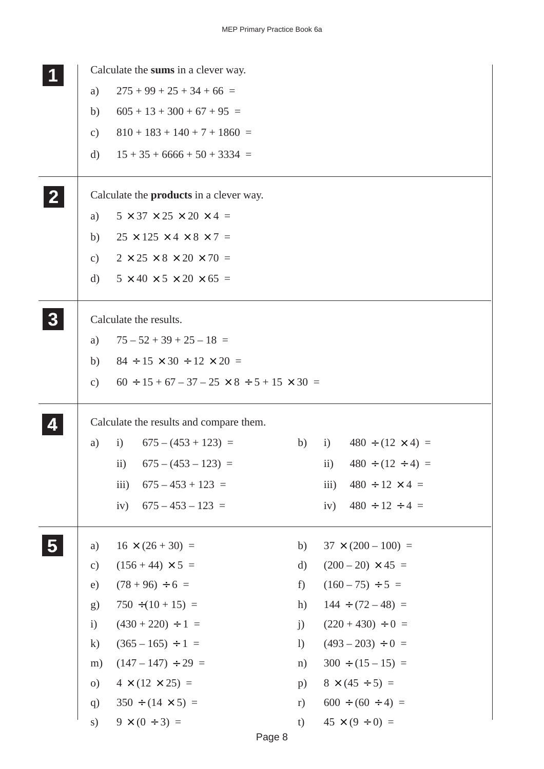|                |                 | Calculate the sums in a clever way.                          |                              |                                       |
|----------------|-----------------|--------------------------------------------------------------|------------------------------|---------------------------------------|
|                | a)              | $275 + 99 + 25 + 34 + 66 =$                                  |                              |                                       |
|                | b)              | $605 + 13 + 300 + 67 + 95 =$                                 |                              |                                       |
|                | $\mathbf{c})$   | $810 + 183 + 140 + 7 + 1860 =$                               |                              |                                       |
|                | d)              | $15 + 35 + 6666 + 50 + 3334 =$                               |                              |                                       |
|                |                 | Calculate the <b>products</b> in a clever way.               |                              |                                       |
|                | a)              | $5 \times 37 \times 25 \times 20 \times 4 =$                 |                              |                                       |
|                | b)              | $25 \times 125 \times 4 \times 8 \times 7 =$                 |                              |                                       |
|                | $\mathbf{c})$   | $2 \times 25 \times 8 \times 20 \times 70 =$                 |                              |                                       |
|                | d)              | $5 \times 40 \times 5 \times 20 \times 65 =$                 |                              |                                       |
| 3 <sup>1</sup> |                 | Calculate the results.                                       |                              |                                       |
|                | a)              | $75 - 52 + 39 + 25 - 18 =$                                   |                              |                                       |
|                | b)              | $84 \div 15 \times 30 \div 12 \times 20 =$                   |                              |                                       |
|                | $\mathcal{C}$ ) | $60 \div 15 + 67 - 37 - 25 \times 8 \div 5 + 15 \times 30 =$ |                              |                                       |
|                |                 | Calculate the results and compare them.                      |                              |                                       |
|                | a)              | $675 - (453 + 123) =$<br>i)                                  | b)                           | $480 \div (12 \times 4) =$<br>i)      |
|                |                 | $675 - (453 - 123) =$<br>$\rm ii)$                           |                              | $480 \div (12 \div 4) =$<br>$\rm ii)$ |
|                |                 | $\overline{111}$ )<br>$675 - 453 + 123 =$                    |                              | iii)<br>$480 \div 12 \times 4 =$      |
|                |                 | iv)<br>$675 - 453 - 123 =$                                   |                              | $480 \div 12 \div 4 =$<br>iv)         |
|                | a)              | $16 \times (26 + 30) =$                                      | b)                           | $37 \times (200 - 100) =$             |
|                | $\mathbf{c})$   | $(156 + 44) \times 5 =$                                      | d)                           | $(200 - 20) \times 45 =$              |
|                | e)              | $(78 + 96) \div 6 =$                                         | f)                           | $(160 - 75) \div 5 =$                 |
|                | g)              | $750 \div (10 + 15) =$                                       | h)                           | $144 \div (72 - 48) =$                |
|                | $\mathbf{i}$    | $(430 + 220) \div 1 =$                                       | j)                           | $(220 + 430) \div 0 =$                |
|                | $\bf k)$        | $(365 - 165) \div 1 =$                                       | $\left( \frac{1}{2} \right)$ | $(493 - 203) \div 0 =$                |
|                | m)              | $(147-147) \div 29 =$                                        | n)                           | $300 \div (15 - 15) =$                |
|                | $\circ$ )       | $4 \times (12 \times 25) =$                                  | p)                           | $8 \times (45 \div 5) =$              |
|                | q)              | $350 \div (14 \times 5) =$                                   | r)                           | $600 \div (60 \div 4) =$              |
|                | s)              | $9 \times (0 \div 3) =$                                      | t)                           | $45 \times (9 \div 0) =$              |

Page 8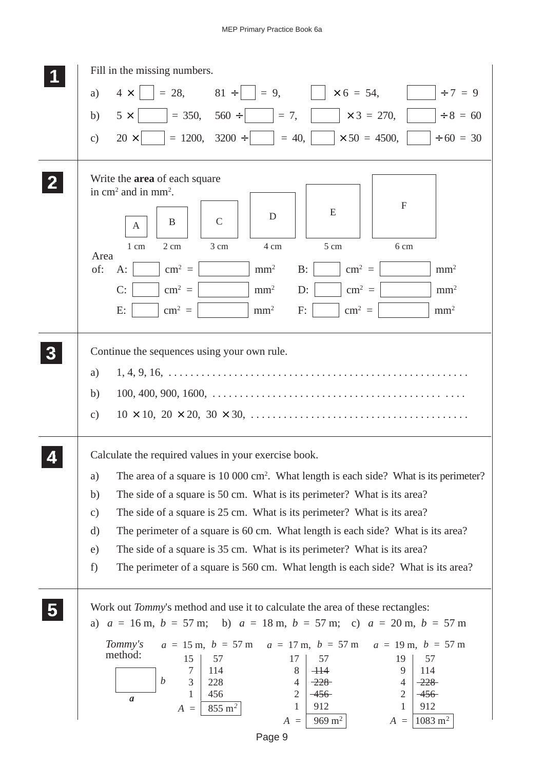|                         | Fill in the missing numbers.                                                                                                                                                                                                                                                                                                                                                                                                                                          |
|-------------------------|-----------------------------------------------------------------------------------------------------------------------------------------------------------------------------------------------------------------------------------------------------------------------------------------------------------------------------------------------------------------------------------------------------------------------------------------------------------------------|
|                         | $81 \div   \ \   = 9,$<br>$\vert \times 6 = 54, \vert \vert$<br>$= 28,$<br>$\div 7 = 9$<br>$4 \times$<br>a)                                                                                                                                                                                                                                                                                                                                                           |
|                         | $= 350, 560 \div$<br>$\times 3 = 270,$<br>$\div 8 = 60$<br>$= 7,$<br>$5 \times$<br>b)                                                                                                                                                                                                                                                                                                                                                                                 |
|                         | $= 1200, 3200 \div$<br>$= 40,$<br>$\times 50 = 4500,$<br>$\div 60 = 30$<br>$20 \times$<br>$\mathbf{c})$                                                                                                                                                                                                                                                                                                                                                               |
|                         |                                                                                                                                                                                                                                                                                                                                                                                                                                                                       |
|                         | Write the <b>area</b> of each square<br>in $\text{cm}^2$ and in mm <sup>2</sup> .<br>F<br>E<br>D                                                                                                                                                                                                                                                                                                                                                                      |
|                         | $\mathcal{C}$<br>B<br>A                                                                                                                                                                                                                                                                                                                                                                                                                                               |
|                         | 3 cm<br>2 cm<br>4 cm<br>5 cm<br>6 cm<br>1 cm<br>Area                                                                                                                                                                                                                                                                                                                                                                                                                  |
|                         | $cm2 =$<br>of:<br>mm <sup>2</sup><br>$B$ :<br>$\text{cm}^2$ =<br>mm <sup>2</sup><br>$A$ :                                                                                                                                                                                                                                                                                                                                                                             |
|                         | $cm2 =$<br>$\text{cm}^2$ =<br>C:<br>mm <sup>2</sup><br>$D$ :<br>mm <sup>2</sup>                                                                                                                                                                                                                                                                                                                                                                                       |
|                         | $cm2 =$<br>$cm2$ =<br>mm <sup>2</sup><br>mm <sup>2</sup><br>E:<br>F:                                                                                                                                                                                                                                                                                                                                                                                                  |
|                         | Continue the sequences using your own rule.<br>a)<br>b)<br>$\mathcal{C}$ )                                                                                                                                                                                                                                                                                                                                                                                            |
|                         | Calculate the required values in your exercise book.                                                                                                                                                                                                                                                                                                                                                                                                                  |
|                         | The area of a square is 10 000 cm <sup>2</sup> . What length is each side? What is its perimeter?<br>a)                                                                                                                                                                                                                                                                                                                                                               |
|                         | The side of a square is 50 cm. What is its perimeter? What is its area?<br>b)                                                                                                                                                                                                                                                                                                                                                                                         |
|                         | The side of a square is 25 cm. What is its perimeter? What is its area?<br>$\mathbf{c})$                                                                                                                                                                                                                                                                                                                                                                              |
|                         | The perimeter of a square is 60 cm. What length is each side? What is its area?<br>d)                                                                                                                                                                                                                                                                                                                                                                                 |
|                         | The side of a square is 35 cm. What is its perimeter? What is its area?<br>e)                                                                                                                                                                                                                                                                                                                                                                                         |
|                         | The perimeter of a square is 560 cm. What length is each side? What is its area?<br>f)                                                                                                                                                                                                                                                                                                                                                                                |
| $\overline{\mathbf{5}}$ | Work out <i>Tommy's</i> method and use it to calculate the area of these rectangles:<br>a) $a = 16$ m, $b = 57$ m; b) $a = 18$ m, $b = 57$ m; c) $a = 20$ m, $b = 57$ m                                                                                                                                                                                                                                                                                               |
|                         | $a = 15$ m, $b = 57$ m<br>$a = 17$ m, $b = 57$ m<br>Tommy's<br>$a = 19$ m, $b = 57$ m<br>method:<br>15<br>57<br>17<br>57<br>19<br>57<br>8<br>7<br>114<br>$+14$<br>9<br>114<br>$\boldsymbol{b}$<br>3<br>228<br>$-228$<br>4<br>$-228$<br>$\overline{4}$<br>456<br>$\overline{c}$<br>$\overline{2}$<br>1<br>$-456$<br>$-456$<br>$\mathfrak a$<br>912<br>912<br>1<br>1<br>$855 \; \mathrm{m}^2$<br>$A =$<br>$969 \text{ m}^2$<br>$1083 \; \mathrm{m}^2$<br>$A =$<br>$A =$ |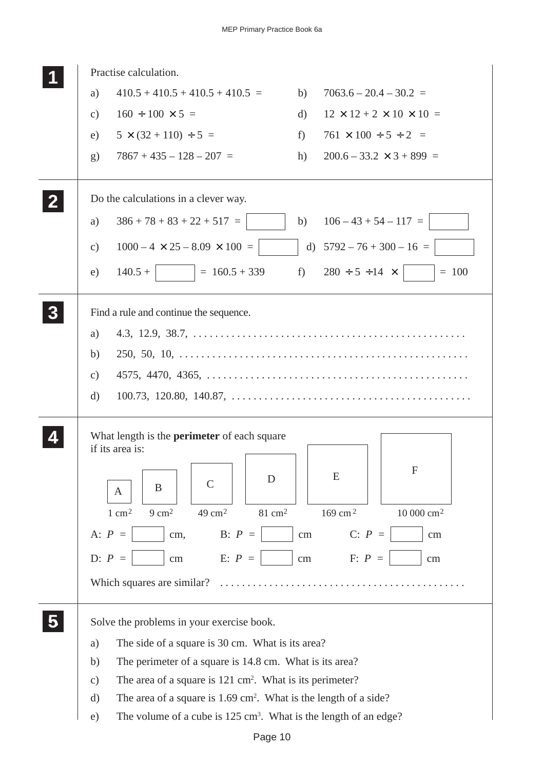|          | Practise calculation.                                                                   |          |                                                |
|----------|-----------------------------------------------------------------------------------------|----------|------------------------------------------------|
|          | $410.5 + 410.5 + 410.5 + 410.5 =$<br>a)                                                 | b)       | $7063.6 - 20.4 - 30.2 =$                       |
|          | $160 \div 100 \times 5 =$<br>$\mathbf{c})$                                              | d)       | $12 \times 12 + 2 \times 10 \times 10 =$       |
|          | $5 \times (32 + 110) \div 5 =$<br>e)                                                    | f        | $761 \times 100 \div 5 \div 2 =$               |
|          | $7867 + 435 - 128 - 207 =$<br>$\mathbf{g}$                                              | h)       | $200.6 - 33.2 \times 3 + 899 =$                |
|          | Do the calculations in a clever way.                                                    |          |                                                |
|          | $386 + 78 + 83 + 22 + 517 =$<br>a)                                                      | b)       | $106 - 43 + 54 - 117 =$                        |
|          | $1000 - 4 \times 25 - 8.09 \times 100 =$<br>c)                                          |          | d) $5792 - 76 + 300 - 16 =$                    |
|          | $= 160.5 + 339$<br>$140.5 +$<br>e)                                                      | $f$ )    | $280 \div 5 \div 14 \times$<br>$= 100$         |
| $\bf{3}$ | Find a rule and continue the sequence.                                                  |          |                                                |
|          | a)                                                                                      |          |                                                |
|          | b)                                                                                      |          |                                                |
|          | $\mathcal{C}$ )                                                                         |          |                                                |
|          | d)                                                                                      |          |                                                |
|          | What length is the <b>perimeter</b> of each square<br>if its area is:                   |          |                                                |
|          | D<br>$\mathcal{C}$<br>B<br>A                                                            |          | F<br>E                                         |
|          | $9 \text{ cm}^2$<br>49 cm <sup>2</sup><br>$81 \text{ cm}^2$<br>$1 \text{ cm}^2$         |          | 169 cm <sup>2</sup><br>$10000$ $\mathrm{cm}^2$ |
|          | B: $P =$<br>A: $P =$<br>cm,                                                             | $\rm cm$ | $C: P =$<br>$\rm cm$                           |
|          | E: $P =$<br>D: $P =$<br>$\rm cm$                                                        | $\rm cm$ | $F: P =$<br>cm                                 |
|          | Which squares are similar?                                                              |          |                                                |
|          | Solve the problems in your exercise book.                                               |          |                                                |
|          | The side of a square is 30 cm. What is its area?<br>a)                                  |          |                                                |
|          | The perimeter of a square is 14.8 cm. What is its area?<br>b)                           |          |                                                |
|          | The area of a square is $121 \text{ cm}^2$ . What is its perimeter?<br>$\mathbf{c})$    |          |                                                |
|          | The area of a square is $1.69 \text{ cm}^2$ . What is the length of a side?<br>$\rm d)$ |          |                                                |
|          | The volume of a cube is 125 cm <sup>3</sup> . What is the length of an edge?<br>e)      |          |                                                |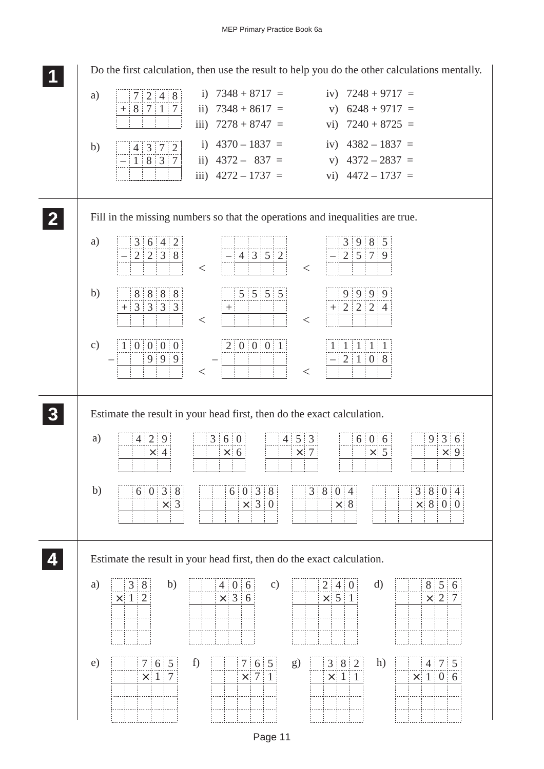Do the first calculation, then use the result to help you do the other calculations mentally.

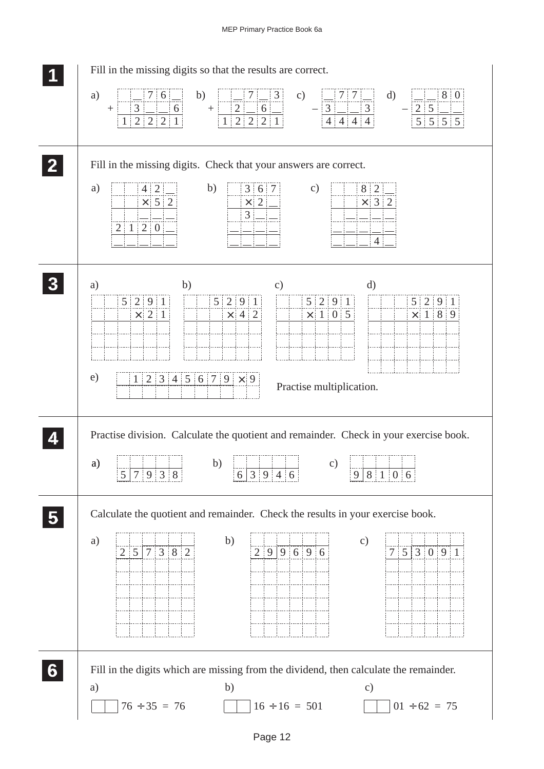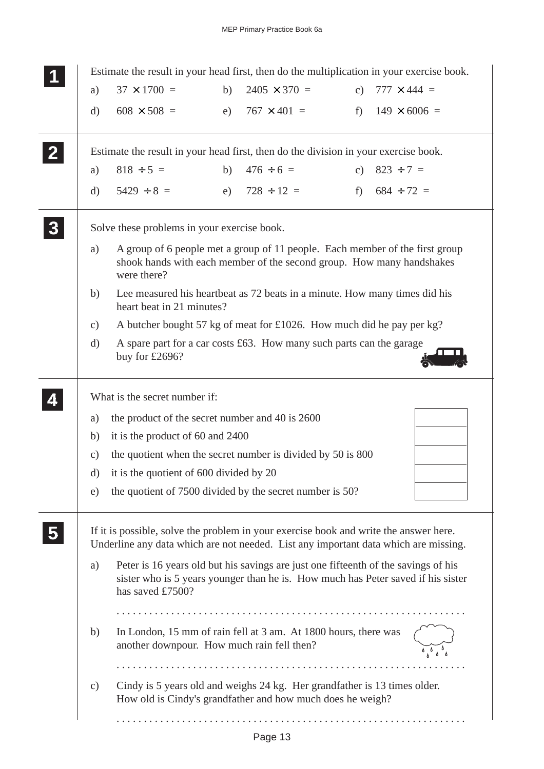| Estimate the result in your head first, then do the multiplication in your exercise book.                                                                                    |                                                                                     |    |                                                                                                                                                                        |  |                        |  |  |  |  |  |
|------------------------------------------------------------------------------------------------------------------------------------------------------------------------------|-------------------------------------------------------------------------------------|----|------------------------------------------------------------------------------------------------------------------------------------------------------------------------|--|------------------------|--|--|--|--|--|
| a)                                                                                                                                                                           | $37 \times 1700 =$                                                                  | b) | $2405 \times 370 =$                                                                                                                                                    |  | c) $777 \times 444 =$  |  |  |  |  |  |
| d)                                                                                                                                                                           | $608 \times 508 =$                                                                  |    | e) $767 \times 401 =$                                                                                                                                                  |  | f) $149 \times 6006 =$ |  |  |  |  |  |
|                                                                                                                                                                              | Estimate the result in your head first, then do the division in your exercise book. |    |                                                                                                                                                                        |  |                        |  |  |  |  |  |
| a)                                                                                                                                                                           | $818 \div 5 =$                                                                      | b) | $476 \div 6 =$                                                                                                                                                         |  | c) $823 \div 7 =$      |  |  |  |  |  |
| d)                                                                                                                                                                           | $5429 \div 8 =$                                                                     |    | e) $728 \div 12 =$                                                                                                                                                     |  | f) $684 \div 72 =$     |  |  |  |  |  |
|                                                                                                                                                                              | Solve these problems in your exercise book.                                         |    |                                                                                                                                                                        |  |                        |  |  |  |  |  |
| a)                                                                                                                                                                           | were there?                                                                         |    | A group of 6 people met a group of 11 people. Each member of the first group<br>shook hands with each member of the second group. How many handshakes                  |  |                        |  |  |  |  |  |
| b)                                                                                                                                                                           | heart beat in 21 minutes?                                                           |    | Lee measured his heartbeat as 72 beats in a minute. How many times did his                                                                                             |  |                        |  |  |  |  |  |
| c)                                                                                                                                                                           |                                                                                     |    | A butcher bought 57 kg of meat for £1026. How much did he pay per kg?                                                                                                  |  |                        |  |  |  |  |  |
| $\mathbf{d}$                                                                                                                                                                 | buy for $£2696?$                                                                    |    | A spare part for a car costs £63. How many such parts can the garage                                                                                                   |  |                        |  |  |  |  |  |
| What is the secret number if:                                                                                                                                                |                                                                                     |    |                                                                                                                                                                        |  |                        |  |  |  |  |  |
| the product of the secret number and 40 is 2600<br>a)                                                                                                                        |                                                                                     |    |                                                                                                                                                                        |  |                        |  |  |  |  |  |
| b)                                                                                                                                                                           | it is the product of 60 and 2400                                                    |    |                                                                                                                                                                        |  |                        |  |  |  |  |  |
| the quotient when the secret number is divided by 50 is 800<br>C)                                                                                                            |                                                                                     |    |                                                                                                                                                                        |  |                        |  |  |  |  |  |
|                                                                                                                                                                              | d) it is the quotient of $600$ divided by 20                                        |    |                                                                                                                                                                        |  |                        |  |  |  |  |  |
| e)                                                                                                                                                                           | the quotient of 7500 divided by the secret number is 50?                            |    |                                                                                                                                                                        |  |                        |  |  |  |  |  |
| If it is possible, solve the problem in your exercise book and write the answer here.<br>Underline any data which are not needed. List any important data which are missing. |                                                                                     |    |                                                                                                                                                                        |  |                        |  |  |  |  |  |
| a)                                                                                                                                                                           | has saved £7500?                                                                    |    | Peter is 16 years old but his savings are just one fifteenth of the savings of his<br>sister who is 5 years younger than he is. How much has Peter saved if his sister |  |                        |  |  |  |  |  |
|                                                                                                                                                                              |                                                                                     |    |                                                                                                                                                                        |  |                        |  |  |  |  |  |
| b)                                                                                                                                                                           | another downpour. How much rain fell then?                                          |    | In London, 15 mm of rain fell at 3 am. At 1800 hours, there was                                                                                                        |  |                        |  |  |  |  |  |
|                                                                                                                                                                              |                                                                                     |    |                                                                                                                                                                        |  |                        |  |  |  |  |  |
| $\mathbf{c})$                                                                                                                                                                |                                                                                     |    | Cindy is 5 years old and weighs 24 kg. Her grandfather is 13 times older.<br>How old is Cindy's grandfather and how much does he weigh?                                |  |                        |  |  |  |  |  |
|                                                                                                                                                                              |                                                                                     |    |                                                                                                                                                                        |  |                        |  |  |  |  |  |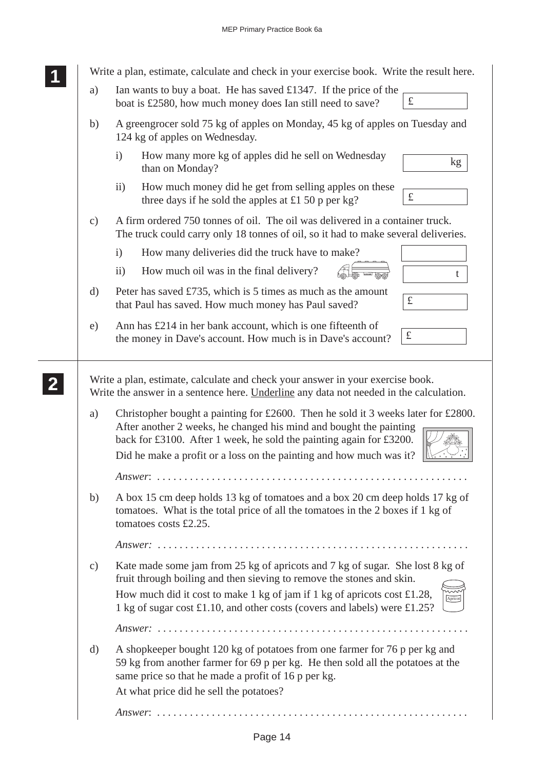| Write a plan, estimate, calculate and check in your exercise book. Write the result here. |                                                                                                                                                                                                                                                                                                                            |  |  |  |  |  |  |  |
|-------------------------------------------------------------------------------------------|----------------------------------------------------------------------------------------------------------------------------------------------------------------------------------------------------------------------------------------------------------------------------------------------------------------------------|--|--|--|--|--|--|--|
| a)                                                                                        | Ian wants to buy a boat. He has saved £1347. If the price of the<br>$\pounds$<br>boat is £2580, how much money does Ian still need to save?                                                                                                                                                                                |  |  |  |  |  |  |  |
| b)                                                                                        | A greengrocer sold 75 kg of apples on Monday, 45 kg of apples on Tuesday and<br>124 kg of apples on Wednesday.                                                                                                                                                                                                             |  |  |  |  |  |  |  |
|                                                                                           | How many more kg of apples did he sell on Wednesday<br>$\mathbf{i}$<br>kg<br>than on Monday?                                                                                                                                                                                                                               |  |  |  |  |  |  |  |
|                                                                                           | How much money did he get from selling apples on these<br>$\rm ii)$<br>$\pounds$<br>three days if he sold the apples at £1 50 p per kg?                                                                                                                                                                                    |  |  |  |  |  |  |  |
| $\mathbf{c})$                                                                             | A firm ordered 750 tonnes of oil. The oil was delivered in a container truck.<br>The truck could carry only 18 tonnes of oil, so it had to make several deliveries.                                                                                                                                                        |  |  |  |  |  |  |  |
|                                                                                           | How many deliveries did the truck have to make?<br>$\mathbf{i}$                                                                                                                                                                                                                                                            |  |  |  |  |  |  |  |
|                                                                                           | How much oil was in the final delivery?<br>$\rm ii)$<br>t                                                                                                                                                                                                                                                                  |  |  |  |  |  |  |  |
| $\rm d)$                                                                                  | Peter has saved £735, which is 5 times as much as the amount<br>$\pounds$<br>that Paul has saved. How much money has Paul saved?                                                                                                                                                                                           |  |  |  |  |  |  |  |
| e)                                                                                        | Ann has £214 in her bank account, which is one fifteenth of<br>$\pounds$<br>the money in Dave's account. How much is in Dave's account?                                                                                                                                                                                    |  |  |  |  |  |  |  |
|                                                                                           | Write a plan, estimate, calculate and check your answer in your exercise book.<br>Write the answer in a sentence here. Underline any data not needed in the calculation.                                                                                                                                                   |  |  |  |  |  |  |  |
| a)                                                                                        | Christopher bought a painting for £2600. Then he sold it 3 weeks later for £2800.<br>After another 2 weeks, he changed his mind and bought the painting<br>back for £3100. After 1 week, he sold the painting again for £3200.<br>Did he make a profit or a loss on the painting and how much was it?                      |  |  |  |  |  |  |  |
|                                                                                           |                                                                                                                                                                                                                                                                                                                            |  |  |  |  |  |  |  |
| b)                                                                                        | A box 15 cm deep holds 13 kg of tomatoes and a box 20 cm deep holds 17 kg of<br>tomatoes. What is the total price of all the tomatoes in the 2 boxes if 1 kg of<br>tomatoes costs £2.25.                                                                                                                                   |  |  |  |  |  |  |  |
|                                                                                           |                                                                                                                                                                                                                                                                                                                            |  |  |  |  |  |  |  |
| $\mathbf{c})$                                                                             | Kate made some jam from 25 kg of apricots and 7 kg of sugar. She lost 8 kg of<br>fruit through boiling and then sieving to remove the stones and skin.<br>How much did it cost to make 1 kg of jam if 1 kg of apricots cost £1.28,<br>Apricot<br>1 kg of sugar cost £1.10, and other costs (covers and labels) were £1.25? |  |  |  |  |  |  |  |
|                                                                                           |                                                                                                                                                                                                                                                                                                                            |  |  |  |  |  |  |  |
| d)                                                                                        | A shopkeeper bought 120 kg of potatoes from one farmer for 76 p per kg and<br>59 kg from another farmer for 69 p per kg. He then sold all the potatoes at the<br>same price so that he made a profit of 16 p per kg.                                                                                                       |  |  |  |  |  |  |  |
|                                                                                           | At what price did he sell the potatoes?                                                                                                                                                                                                                                                                                    |  |  |  |  |  |  |  |
|                                                                                           |                                                                                                                                                                                                                                                                                                                            |  |  |  |  |  |  |  |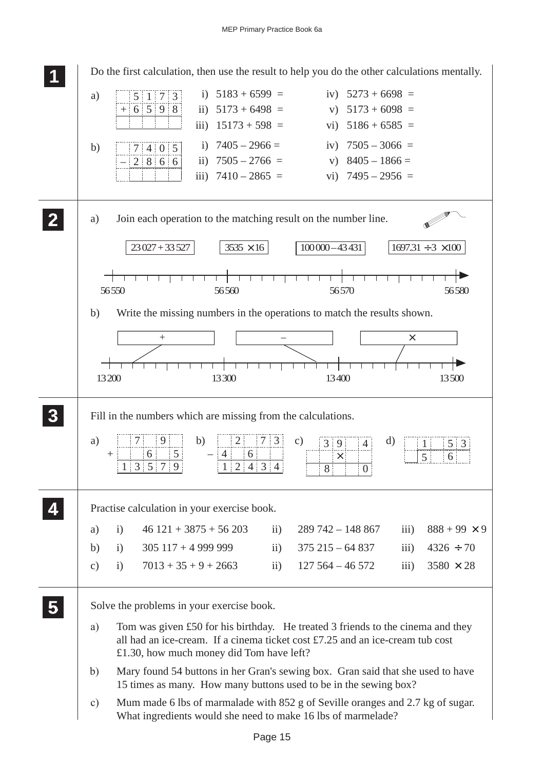**1 11** Do the first calculation, then use the result to help you do the other calculations mentally. **11** i)  $5183 + 6599 =$ iv)  $5273 + 6698 =$ a) 5173  $+ 6598$ ii)  $5173 + 6498 =$ v)  $5173 + 6098 =$ iii)  $15173 + 598 =$ vi)  $5186 + 6585 =$ i)  $7405 - 2966 =$ iv)  $7505 - 3066 =$ b)  $7|4|0|5$ ii)  $7505 - 2766 =$ v)  $8405 - 1866 =$  $2866$ iii)  $7410 - 2865 =$ vi)  $7495 - 2956 =$ **2 22** a) Join each operation to the matching result on the number line. **22**  $\overline{23027 + 33527}$   $\overline{3535 \times 16}$   $\overline{100000 - 43431}$   $\overline{1697.31 \div 3 \times 100}$  $\overline{\phantom{a}}$ ┯ 56 550 56 56560 56 56 570 56 580 b) Write the missing numbers in the operations to match the results shown. + – × ┯ ┯ ┯ 13 200 13 300 13 400 13 500 **3 33** Fill in the numbers which are missing from the calculations. **33 33** a)  $7 \mid 9$ b)  $|2|$  7 3  $2$  7 3 c) 3 9 4 d)  $3|9$ 4 1 5 3  $^{+}$ 56 – 64 × 6 5 7531 9  $1 \, | \, 2 \, | \, 4 \, | \, 3 \, | \, 4$ 8  $\Omega$ **4 44** Practise calculation in your exercise book. **44** a) i)  $46\,121 + 3875 + 56\,203$  ii)  $289\,742 - 148\,867$  iii)  $888 + 99 \times 9$ b) i)  $305\ 117 + 4\ 999\ 999$  ii)  $375\ 215 - 64\ 837$  iii)  $4326 \div 70$ c) i)  $7013 + 35 + 9 + 2663$  ii)  $127\,564 - 46\,572$  iii)  $3580 \times 28$ **5 55** Solve the problems in your exercise book. **55** a) Tom was given £50 for his birthday. He treated 3 friends to the cinema and they all had an ice-cream. If a cinema ticket cost £7.25 and an ice-cream tub cost £1.30, how much money did Tom have left? b) Mary found 54 buttons in her Gran's sewing box. Gran said that she used to have 15 times as many. How many buttons used to be in the sewing box? c) Mum made 6 lbs of marmalade with 852 g of Seville oranges and 2.7 kg of sugar. What ingredients would she need to make 16 lbs of marmelade?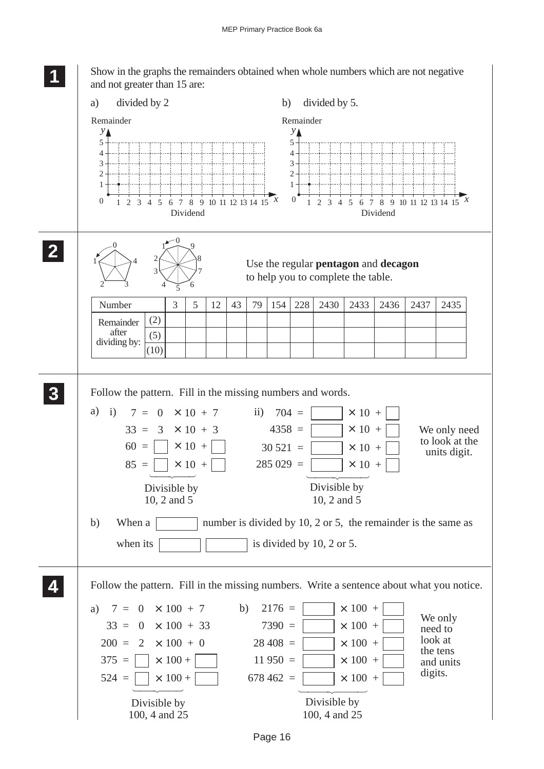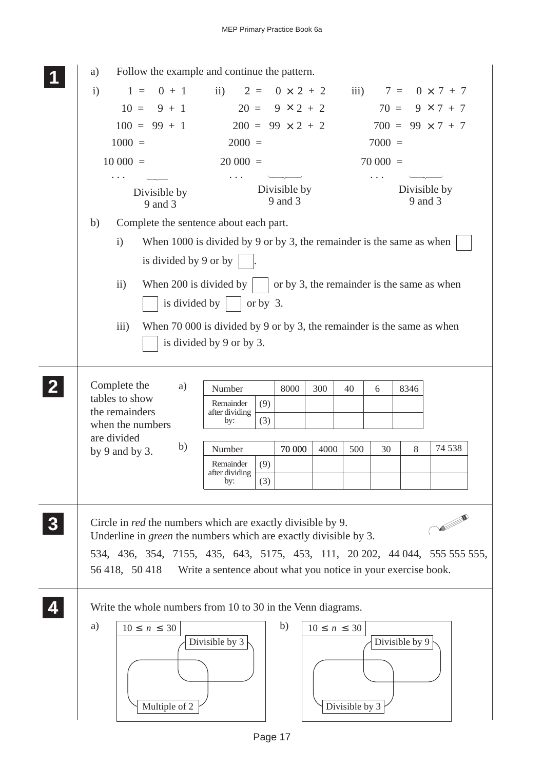|              | Follow the example and continue the pattern.<br>a)                        |                                                                        |                                            |                     |                |           |                         |                           |  |
|--------------|---------------------------------------------------------------------------|------------------------------------------------------------------------|--------------------------------------------|---------------------|----------------|-----------|-------------------------|---------------------------|--|
|              | $\mathbf{i}$<br>$0 + 1$<br>$1 =$                                          | ii) $2 =$                                                              | $0 \times 2 + 2$                           |                     |                |           |                         | iii) $7 = 0 \times 7 + 7$ |  |
|              | $10 =$<br>$9 + 1$                                                         | $20 = 9 \times 2 + 2$                                                  |                                            |                     |                | $70 =$    |                         | $9 \times 7 + 7$          |  |
|              | $100 = 99 + 1$                                                            | $200 = 99 \times 2 + 2$                                                |                                            |                     |                |           |                         | $700 = 99 \times 7 + 7$   |  |
|              | $1000 =$                                                                  | $2000 =$                                                               |                                            |                     |                | $7000 =$  |                         |                           |  |
|              | $10000 =$                                                                 | $20000 =$                                                              |                                            |                     |                | $70000 =$ |                         |                           |  |
|              | Divisible by<br>9 and 3                                                   |                                                                        | Divisible by<br>9 and 3                    |                     |                |           | Divisible by<br>9 and 3 |                           |  |
|              | Complete the sentence about each part.<br>b)                              |                                                                        |                                            |                     |                |           |                         |                           |  |
|              | $\mathbf{i}$                                                              | When 1000 is divided by 9 or by 3, the remainder is the same as when   |                                            |                     |                |           |                         |                           |  |
|              | is divided by 9 or by                                                     |                                                                        |                                            |                     |                |           |                         |                           |  |
|              |                                                                           |                                                                        |                                            |                     |                |           |                         |                           |  |
|              | ii)                                                                       | When 200 is divided by $\vert$                                         | or by 3, the remainder is the same as when |                     |                |           |                         |                           |  |
|              | is divided by                                                             | or by $3$ .                                                            |                                            |                     |                |           |                         |                           |  |
|              | $\overline{iii}$                                                          | When 70 000 is divided by 9 or by 3, the remainder is the same as when |                                            |                     |                |           |                         |                           |  |
|              |                                                                           | is divided by 9 or by 3.                                               |                                            |                     |                |           |                         |                           |  |
|              |                                                                           |                                                                        |                                            |                     |                |           |                         |                           |  |
| $\mathbf{2}$ | Complete the<br>a)                                                        | Number                                                                 | 8000                                       | 300                 | 40             | 6         | 8346                    |                           |  |
|              | tables to show                                                            | (9)<br>Remainder                                                       |                                            |                     |                |           |                         |                           |  |
|              | the remainders                                                            | after dividing<br>(3)<br>by:                                           |                                            |                     |                |           |                         |                           |  |
|              | when the numbers<br>are divided                                           |                                                                        |                                            |                     |                |           |                         |                           |  |
|              | b)<br>by $9$ and by $3$ .                                                 | Number                                                                 | 70 000                                     | 4000                | 500            | 30        | 8                       | 74 538                    |  |
|              |                                                                           | (9)<br>Remainder<br>after dividing                                     |                                            |                     |                |           |                         |                           |  |
|              |                                                                           | (3)<br>by:                                                             |                                            |                     |                |           |                         |                           |  |
| 3            | Circle in <i>red</i> the numbers which are exactly divisible by 9.        |                                                                        |                                            |                     |                |           |                         | <b>All Contracts</b>      |  |
|              | Underline in <i>green</i> the numbers which are exactly divisible by 3.   |                                                                        |                                            |                     |                |           |                         |                           |  |
|              | 534, 436, 354, 7155, 435, 643, 5175, 453, 111, 20202, 44044, 555 555 555, |                                                                        |                                            |                     |                |           |                         |                           |  |
|              | 56 418, 50 418                                                            | Write a sentence about what you notice in your exercise book.          |                                            |                     |                |           |                         |                           |  |
|              |                                                                           |                                                                        |                                            |                     |                |           |                         |                           |  |
|              | Write the whole numbers from 10 to 30 in the Venn diagrams.               |                                                                        |                                            |                     |                |           |                         |                           |  |
|              | a)<br>$10 \leq n \leq 30$                                                 |                                                                        | b)                                         | $10 \leq n \leq 30$ |                |           |                         |                           |  |
|              |                                                                           | Divisible by 3                                                         |                                            |                     |                |           | Divisible by 9          |                           |  |
|              |                                                                           |                                                                        |                                            |                     |                |           |                         |                           |  |
|              |                                                                           |                                                                        |                                            |                     |                |           |                         |                           |  |
|              |                                                                           |                                                                        |                                            |                     |                |           |                         |                           |  |
|              | Multiple of 2                                                             |                                                                        |                                            |                     | Divisible by 3 |           |                         |                           |  |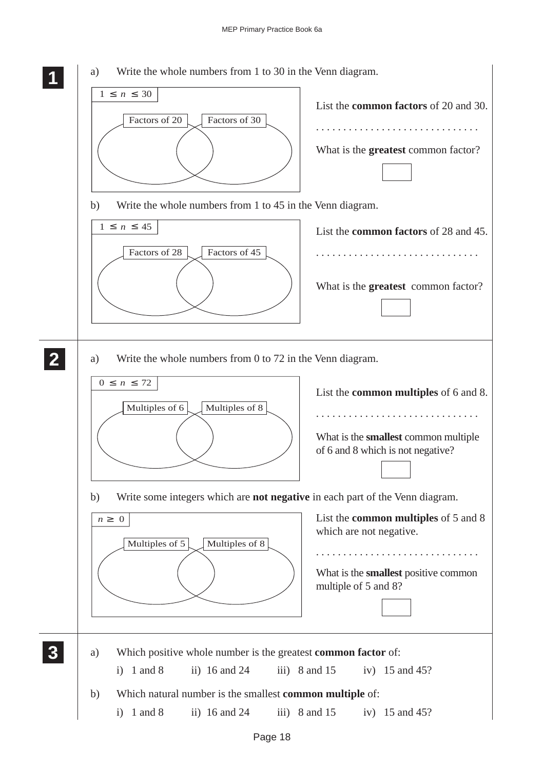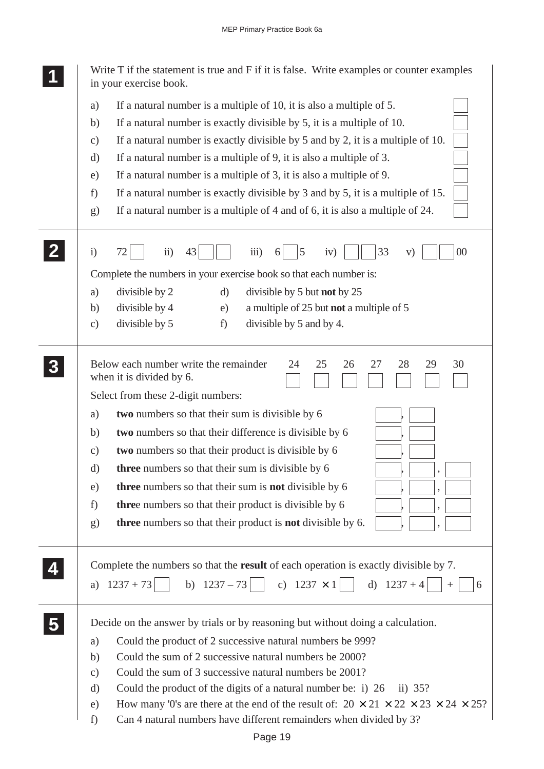|                | Write T if the statement is true and F if it is false. Write examples or counter examples<br>in your exercise book.                                           |
|----------------|---------------------------------------------------------------------------------------------------------------------------------------------------------------|
|                | If a natural number is a multiple of 10, it is also a multiple of 5.<br>a)                                                                                    |
|                | If a natural number is exactly divisible by 5, it is a multiple of 10.<br>b)                                                                                  |
|                | If a natural number is exactly divisible by $5$ and by $2$ , it is a multiple of 10.<br>$\mathbf{c})$                                                         |
|                | If a natural number is a multiple of 9, it is also a multiple of 3.<br>d)                                                                                     |
|                | If a natural number is a multiple of 3, it is also a multiple of 9.<br>e)                                                                                     |
|                | If a natural number is exactly divisible by 3 and by 5, it is a multiple of 15.<br>f)                                                                         |
|                | If a natural number is a multiple of 4 and of 6, it is also a multiple of 24.<br>g)                                                                           |
|                | $\ddot{\text{1}}$<br>33<br>$00\,$<br>$\mathbf{i}$<br>43<br>$\overline{iii}$ )<br>5<br>iv)<br>V)                                                               |
|                | Complete the numbers in your exercise book so that each number is:                                                                                            |
|                | divisible by 2<br>$\mathbf{d}$<br>divisible by 5 but not by 25<br>a)                                                                                          |
|                | divisible by 4<br>a multiple of 25 but not a multiple of 5<br>b)<br>e)                                                                                        |
|                | divisible by 5<br>divisible by 5 and by 4.<br>f)<br>$\mathbf{c})$                                                                                             |
| 3 <sup>1</sup> | Below each number write the remainder<br>28<br>30<br>24<br>25<br>26<br>27<br>29<br>when it is divided by 6.<br>Select from these 2-digit numbers:             |
|                | two numbers so that their sum is divisible by 6<br>a)                                                                                                         |
|                | two numbers so that their difference is divisible by 6<br>b)                                                                                                  |
|                | two numbers so that their product is divisible by 6<br>$\mathbf{c})$                                                                                          |
|                | <b>three</b> numbers so that their sum is divisible by 6<br>d)                                                                                                |
|                | three numbers so that their sum is not divisible by 6<br>e)                                                                                                   |
|                | three numbers so that their product is divisible by 6<br>f)                                                                                                   |
|                | three numbers so that their product is <b>not</b> divisible by 6.<br>g)                                                                                       |
|                | Complete the numbers so that the result of each operation is exactly divisible by 7.<br>b) $1237-73$ c) $1237 \times 1$ d) $1237+4$<br>$1237 + 73$<br>a)<br>6 |
|                | Decide on the answer by trials or by reasoning but without doing a calculation.                                                                               |
| 5 <sup>1</sup> | Could the product of 2 successive natural numbers be 999?                                                                                                     |
|                | a)<br>Could the sum of 2 successive natural numbers be 2000?<br>b)                                                                                            |
|                | Could the sum of 3 successive natural numbers be 2001?<br>$\mathbf{c})$                                                                                       |
|                | Could the product of the digits of a natural number be: i) 26<br>d)<br>ii) $35?$                                                                              |
|                | How many '0's are there at the end of the result of: $20 \times 21 \times 22 \times 23 \times 24 \times 25$ ?<br>e)                                           |
|                | f)<br>Can 4 natural numbers have different remainders when divided by 3?                                                                                      |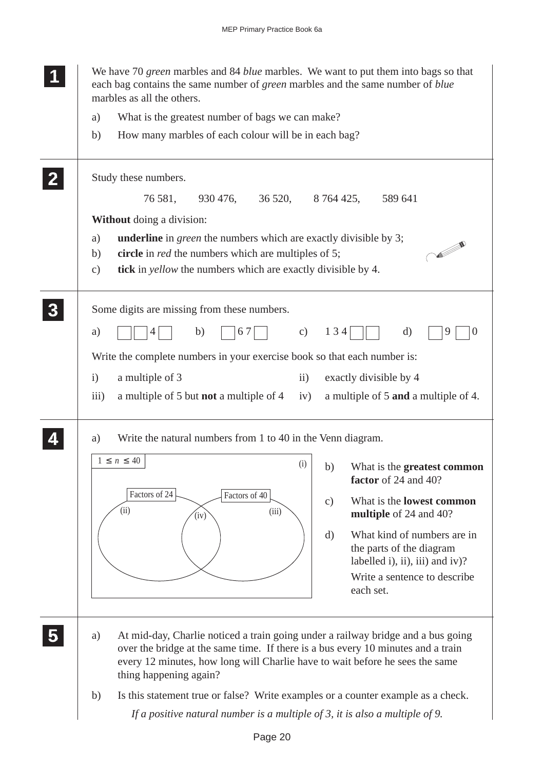|                         | We have 70 green marbles and 84 blue marbles. We want to put them into bags so that<br>each bag contains the same number of green marbles and the same number of blue<br>marbles as all the others. |
|-------------------------|-----------------------------------------------------------------------------------------------------------------------------------------------------------------------------------------------------|
|                         | What is the greatest number of bags we can make?<br>a)                                                                                                                                              |
|                         | How many marbles of each colour will be in each bag?<br>b)                                                                                                                                          |
|                         | Study these numbers.                                                                                                                                                                                |
|                         | 76 581,<br>930 476,<br>36 520,<br>8 764 425,<br>589 641                                                                                                                                             |
|                         | <b>Without</b> doing a division:                                                                                                                                                                    |
|                         | <b>underline</b> in <i>green</i> the numbers which are exactly divisible by 3;<br>a)                                                                                                                |
|                         | circle in <i>red</i> the numbers which are multiples of 5;<br>b)                                                                                                                                    |
|                         | tick in <i>yellow</i> the numbers which are exactly divisible by 4.<br>$\mathbf{c})$                                                                                                                |
| $\boldsymbol{3}$        | Some digits are missing from these numbers.                                                                                                                                                         |
|                         | 134<br>b)<br>67<br>c)<br>d)<br>a)<br>9<br>$\theta$                                                                                                                                                  |
|                         | Write the complete numbers in your exercise book so that each number is:                                                                                                                            |
|                         | a multiple of 3<br>exactly divisible by 4<br>$\mathbf{i}$<br>$\ddot{i}$                                                                                                                             |
|                         | a multiple of 5 and a multiple of 4.<br>iii)<br>a multiple of 5 but <b>not</b> a multiple of 4<br>iv)                                                                                               |
|                         |                                                                                                                                                                                                     |
|                         | Write the natural numbers from 1 to 40 in the Venn diagram.<br>a)                                                                                                                                   |
|                         | $1 \leq n \leq 40$<br>(i)<br>What is the greatest common<br>b)<br>factor of 24 and 40?                                                                                                              |
|                         | Factors of 24<br>Factors of 40<br>What is the <b>lowest common</b><br>$\mathbf{c})$<br>(ii)<br>(iii)<br>multiple of 24 and 40?<br>(iv)                                                              |
|                         | What kind of numbers are in<br>$\mathbf{d}$                                                                                                                                                         |
|                         | the parts of the diagram                                                                                                                                                                            |
|                         | labelled i), ii), iii) and iv)?                                                                                                                                                                     |
|                         | Write a sentence to describe<br>each set.                                                                                                                                                           |
|                         |                                                                                                                                                                                                     |
|                         |                                                                                                                                                                                                     |
| $\overline{\mathbf{5}}$ | At mid-day, Charlie noticed a train going under a railway bridge and a bus going<br>a)<br>over the bridge at the same time. If there is a bus every 10 minutes and a train                          |
|                         | every 12 minutes, how long will Charlie have to wait before he sees the same                                                                                                                        |
|                         | thing happening again?                                                                                                                                                                              |
|                         | Is this statement true or false? Write examples or a counter example as a check.<br>b)                                                                                                              |
|                         | If a positive natural number is a multiple of 3, it is also a multiple of 9.                                                                                                                        |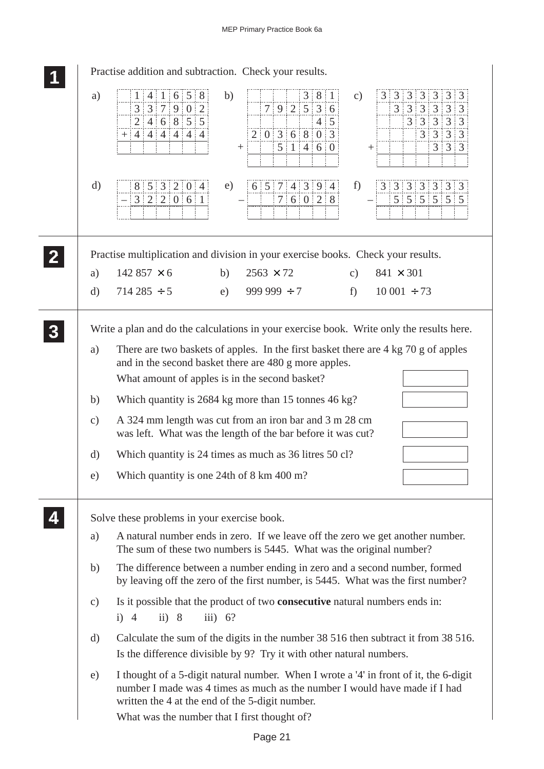|                                       | Practise addition and subtraction. Check your results.                                                                                                                                                                                                                                                                                                                                                                                                                                                                                                                            |
|---------------------------------------|-----------------------------------------------------------------------------------------------------------------------------------------------------------------------------------------------------------------------------------------------------------------------------------------------------------------------------------------------------------------------------------------------------------------------------------------------------------------------------------------------------------------------------------------------------------------------------------|
| a)                                    | 1   4   1   6   5   8<br>3 8 1<br>$3 \mid 3 \mid 3 \mid 3 \mid 3 \mid 3$<br>b)<br>3<br>c)<br>7 9 2536<br>$3 \mid 3 \mid 3 \mid 3 \mid 3 \mid 3$<br>3 3 7 9 0 2<br>2 4 6 8 55<br>3 3 3 3 3<br>$4 \overline{\smash{\big)}\,}$ 5<br>3 3 3 3<br>$2 \t0 \t3 \t6 \t8 \t0 \t3$<br>$+ 4 4 4 4 4 4 4$<br>5 1 4 6 0<br>$3 \mid 3 \mid 3$<br>$^+$                                                                                                                                                                                                                                            |
| $\mathbf{d}$                          | 8   5   3   2   0   4<br>6 5 7 4 3 9 4<br>f)<br>e)<br>3 3 3 3 3 3 3<br> 3 2 2 0 6 1 <br>7   6   0   2   8<br>$5 \mid 5 \mid 5 \mid 5 \mid 5 \mid 5$                                                                                                                                                                                                                                                                                                                                                                                                                               |
|                                       | Practise multiplication and division in your exercise books. Check your results.                                                                                                                                                                                                                                                                                                                                                                                                                                                                                                  |
| a)                                    | 142 857 $\times$ 6<br>$2563 \times 72$<br>$841 \times 301$<br>b)<br>$\mathbf{c})$                                                                                                                                                                                                                                                                                                                                                                                                                                                                                                 |
| $\mathrm{d}$                          | $714\,285\div 5$<br>$999999 \div 7$<br>$f$ )<br>$10001 \div 73$<br>e)                                                                                                                                                                                                                                                                                                                                                                                                                                                                                                             |
| a)<br>b)<br>$\mathbf{c})$<br>d)<br>e) | Write a plan and do the calculations in your exercise book. Write only the results here.<br>There are two baskets of apples. In the first basket there are 4 kg 70 g of apples<br>and in the second basket there are 480 g more apples.<br>What amount of apples is in the second basket?<br>Which quantity is 2684 kg more than 15 tonnes 46 kg?<br>A 324 mm length was cut from an iron bar and 3 m 28 cm<br>was left. What was the length of the bar before it was cut?<br>Which quantity is 24 times as much as 36 litres 50 cl?<br>Which quantity is one 24th of 8 km 400 m? |
| a)                                    | Solve these problems in your exercise book.<br>A natural number ends in zero. If we leave off the zero we get another number.<br>The sum of these two numbers is 5445. What was the original number?                                                                                                                                                                                                                                                                                                                                                                              |
| b)                                    | The difference between a number ending in zero and a second number, formed<br>by leaving off the zero of the first number, is 5445. What was the first number?                                                                                                                                                                                                                                                                                                                                                                                                                    |
| c)                                    | Is it possible that the product of two <b>consecutive</b> natural numbers ends in:<br>ii) 8<br>iii) 6?<br>$i)$ 4                                                                                                                                                                                                                                                                                                                                                                                                                                                                  |
| d)                                    | Calculate the sum of the digits in the number 38 516 then subtract it from 38 516.<br>Is the difference divisible by 9? Try it with other natural numbers.                                                                                                                                                                                                                                                                                                                                                                                                                        |
| e)                                    | I thought of a 5-digit natural number. When I wrote a '4' in front of it, the 6-digit<br>number I made was 4 times as much as the number I would have made if I had<br>written the 4 at the end of the 5-digit number.<br>What was the number that I first thought of?                                                                                                                                                                                                                                                                                                            |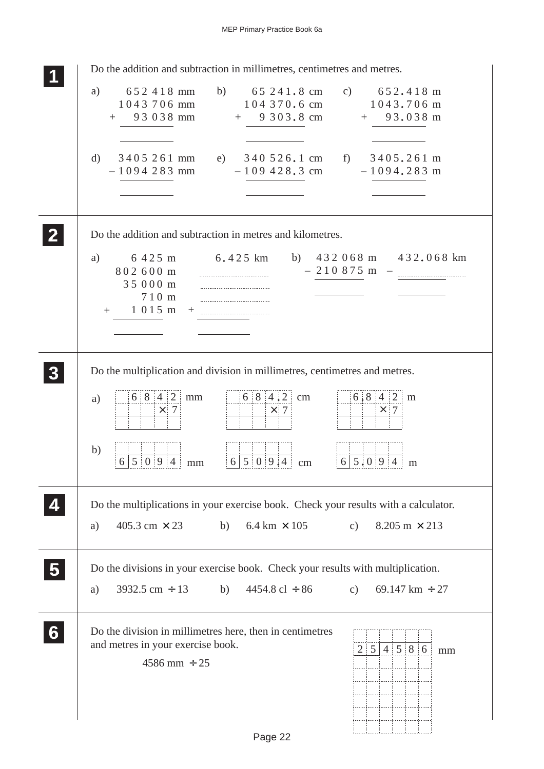| Do the addition and subtraction in millimetres, centimetres and metres.                                                                                                                                                                 |
|-----------------------------------------------------------------------------------------------------------------------------------------------------------------------------------------------------------------------------------------|
| 652 418 mm<br>b) $65\,241.8 \text{ cm}$<br>c) $652.418 \text{ m}$<br>a)<br>104 370.6 cm 1043.706 m<br>1043706 mm<br>93 038 mm<br>$+$ 9 3 0 3 . 8 cm<br>$+ 93.038 \text{ m}$<br>$+$                                                      |
| 3405 261 mm<br>e) 340 526.1 cm f) 3405.261 m<br>d)<br>$-109428.3$ cm $-1094.283$ m<br>$-1094283$ mm                                                                                                                                     |
| Do the addition and subtraction in metres and kilometres.                                                                                                                                                                               |
| b) $432068 \text{ m}$ $432.068 \text{ km}$<br>a)<br>6 4 2 5 m<br>6.425 km<br>$-210875$ m<br>802600 m<br>35 000 m<br>710 m<br>1015 m<br>$+$                                                                                              |
| Do the multiplication and division in millimetres, centimetres and metres.<br>$6 8 4 2$ cm<br>6 8 4 2<br>$6.8$ 4 2 m<br>mm<br>a)<br>$\times$ 7<br>$\times 7$<br>$\times$ 7<br>b)<br>6 5 0 9 4<br>6 5 0 9.4<br>$6 5.0 9 4$ m<br>cm<br>mm |
| Do the multiplications in your exercise book. Check your results with a calculator.                                                                                                                                                     |
| 405.3 cm $\times$ 23<br>$6.4 \text{ km} \times 105$<br>b)<br>$8.205 \text{ m} \times 213$<br>$\mathbf{c})$<br>a)                                                                                                                        |
| Do the divisions in your exercise book. Check your results with multiplication.<br>$3932.5 \text{ cm} \div 13$<br>$4454.8 \text{ cl } \div 86$<br>b)<br>69.147 km $\div$ 27<br>c)<br>a)                                                 |
| Do the division in millimetres here, then in centimetres<br>and metres in your exercise book.<br>2   5   4   5   8   6<br>mm<br>$4586$ mm $\div$ 25<br>$D_{200}$ 22                                                                     |
|                                                                                                                                                                                                                                         |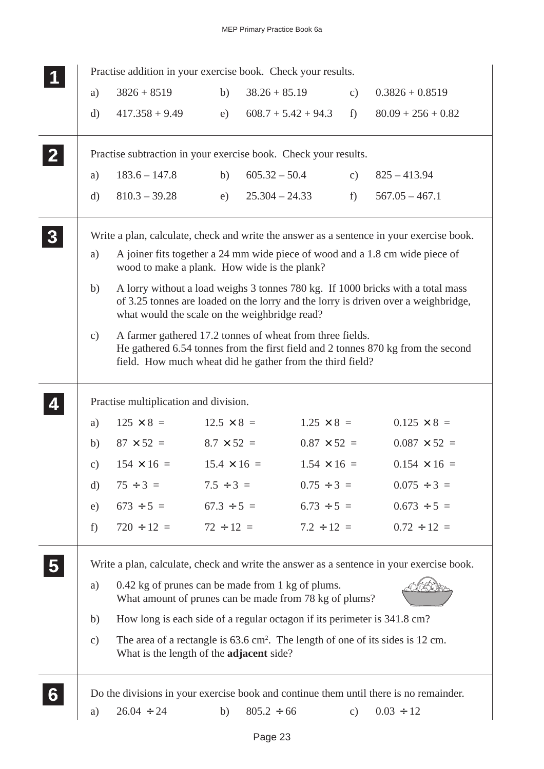| a)            | Practise addition in your exercise book. Check your results.<br>$3826 + 8519$                                          | b)                 | $38.26 + 85.19$                                        | $\mathbf{c})$      | $0.3826 + 0.8519$                                                                                                                                                     |
|---------------|------------------------------------------------------------------------------------------------------------------------|--------------------|--------------------------------------------------------|--------------------|-----------------------------------------------------------------------------------------------------------------------------------------------------------------------|
|               |                                                                                                                        |                    |                                                        |                    |                                                                                                                                                                       |
| $\mathbf{d}$  | $417.358 + 9.49$                                                                                                       | e)                 | $608.7 + 5.42 + 94.3$                                  | f                  | $80.09 + 256 + 0.82$                                                                                                                                                  |
|               | Practise subtraction in your exercise book. Check your results.                                                        |                    |                                                        |                    |                                                                                                                                                                       |
| a)            | $183.6 - 147.8$                                                                                                        | b)                 | $605.32 - 50.4$                                        | $\mathbf{c})$      | $825 - 413.94$                                                                                                                                                        |
| $\mathbf{d}$  | $810.3 - 39.28$                                                                                                        | e)                 | $25.304 - 24.33$                                       | $f$ )              | $567.05 - 467.1$                                                                                                                                                      |
|               |                                                                                                                        |                    |                                                        |                    | Write a plan, calculate, check and write the answer as a sentence in your exercise book.                                                                              |
| a)            | wood to make a plank. How wide is the plank?                                                                           |                    |                                                        |                    | A joiner fits together a 24 mm wide piece of wood and a 1.8 cm wide piece of                                                                                          |
| b)            | what would the scale on the weighbridge read?                                                                          |                    |                                                        |                    | A lorry without a load weighs 3 tonnes 780 kg. If 1000 bricks with a total mass<br>of 3.25 tonnes are loaded on the lorry and the lorry is driven over a weighbridge, |
| $\mathbf{c})$ | A farmer gathered 17.2 tonnes of wheat from three fields.<br>field. How much wheat did he gather from the third field? |                    |                                                        |                    | He gathered 6.54 tonnes from the first field and 2 tonnes 870 kg from the second                                                                                      |
|               | Practise multiplication and division.                                                                                  |                    |                                                        |                    |                                                                                                                                                                       |
| a)            | $125 \times 8 =$                                                                                                       | $12.5 \times 8 =$  |                                                        | $1.25 \times 8 =$  | $0.125 \times 8 =$                                                                                                                                                    |
| b)            | $87 \times 52 =$                                                                                                       | $8.7 \times 52 =$  |                                                        | $0.87 \times 52 =$ | $0.087 \times 52 =$                                                                                                                                                   |
| c)            | $154 \times 16 =$                                                                                                      | $15.4 \times 16 =$ |                                                        | $1.54 \times 16 =$ | $0.154 \times 16 =$                                                                                                                                                   |
| d)            | $75 \div 3 = 7.5 \div 3 =$                                                                                             |                    |                                                        | $0.75 \div 3 =$    | $0.075 \div 3 =$                                                                                                                                                      |
| e)            | $673 \div 5 = 67.3 \div 5 = 6.73 \div 5 =$                                                                             |                    |                                                        |                    | $0.673 \div 5 =$                                                                                                                                                      |
|               | $720 \div 12 = 72 \div 12 =$                                                                                           |                    |                                                        | $7.2 \div 12 =$    | $0.72 \div 12 =$                                                                                                                                                      |
| f)            |                                                                                                                        |                    |                                                        |                    |                                                                                                                                                                       |
|               |                                                                                                                        |                    |                                                        |                    | Write a plan, calculate, check and write the answer as a sentence in your exercise book.                                                                              |
| a)            | 0.42 kg of prunes can be made from 1 kg of plums.                                                                      |                    | What amount of prunes can be made from 78 kg of plums? |                    |                                                                                                                                                                       |
| b)            | How long is each side of a regular octagon if its perimeter is 341.8 cm?                                               |                    |                                                        |                    |                                                                                                                                                                       |
| $\mathbf{c})$ | What is the length of the <b>adjacent</b> side?                                                                        |                    |                                                        |                    | The area of a rectangle is $63.6 \text{ cm}^2$ . The length of one of its sides is 12 cm.                                                                             |
|               |                                                                                                                        |                    |                                                        |                    | Do the divisions in your exercise book and continue them until there is no remainder.                                                                                 |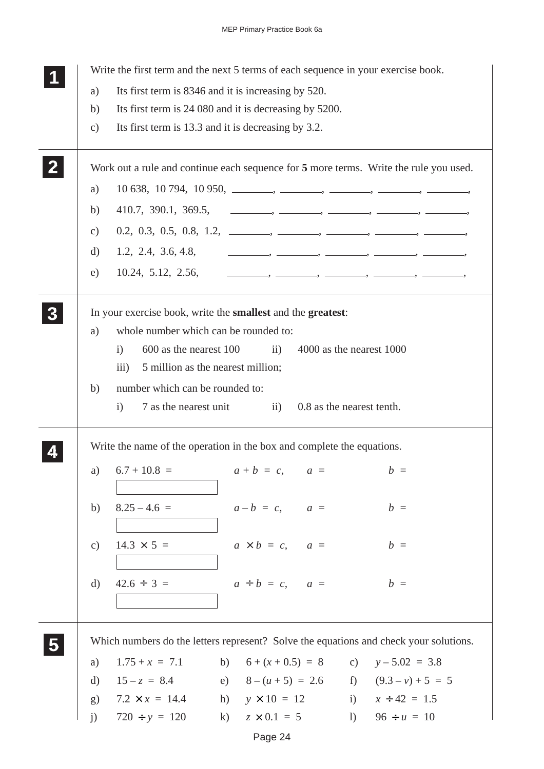|               | Write the first term and the next 5 terms of each sequence in your exercise book.                                                   |
|---------------|-------------------------------------------------------------------------------------------------------------------------------------|
| a)            | Its first term is 8346 and it is increasing by 520.                                                                                 |
| b)            | Its first term is 24 080 and it is decreasing by 5200.                                                                              |
| $\mathbf{c})$ | Its first term is 13.3 and it is decreasing by 3.2.                                                                                 |
|               | Work out a rule and continue each sequence for 5 more terms. Write the rule you used.                                               |
| a)            | $10\,638, 10\,794, 10\,950, \_\_\_\_\_\_$                                                                                           |
| b)            |                                                                                                                                     |
| $\mathbf{c})$ |                                                                                                                                     |
| d)            |                                                                                                                                     |
| e)            |                                                                                                                                     |
|               |                                                                                                                                     |
|               | In your exercise book, write the <b>smallest</b> and the <b>greatest</b> :                                                          |
| a)            | whole number which can be rounded to:                                                                                               |
|               | 600 as the nearest 100<br>4000 as the nearest 1000<br>$\mathbf{i}$<br>$\overline{ii}$ )                                             |
|               | 5 million as the nearest million;<br>$\overline{111}$                                                                               |
| b)            | number which can be rounded to:                                                                                                     |
|               | 7 as the nearest unit<br>0.8 as the nearest tenth.<br>$\mathbf{i}$<br>$\overline{11}$ )                                             |
|               |                                                                                                                                     |
|               | Write the name of the operation in the box and complete the equations.                                                              |
| a)            | $6.7 + 10.8 =$<br>$a + b = c$ , $a =$<br>$b =$                                                                                      |
|               |                                                                                                                                     |
| b)            | $8.25 - 4.6 =$<br>$a-b = c$ , $a =$<br>$b =$                                                                                        |
|               |                                                                                                                                     |
| c)            | $14.3 \times 5 =$<br>$a \times b = c$ , $a =$<br>$b =$                                                                              |
|               |                                                                                                                                     |
| $\mathbf{d}$  | $a \div b = c$ , $a =$<br>$42.6 \div 3 =$<br>$b =$                                                                                  |
|               |                                                                                                                                     |
|               |                                                                                                                                     |
|               |                                                                                                                                     |
|               |                                                                                                                                     |
|               | Which numbers do the letters represent? Solve the equations and check your solutions.                                               |
| a)            | $1.75 + x = 7.1$<br>b) $6 + (x + 0.5) = 8$ c) $y - 5.02 = 3.8$                                                                      |
| d)<br>(g)     | e) $8 - (u + 5) = 2.6$ f) $(9.3 - v) + 5 = 5$<br>$15 - z = 8.4$<br>$7.2 \times x = 14.4$ h) $y \times 10 = 12$ i) $x \div 42 = 1.5$ |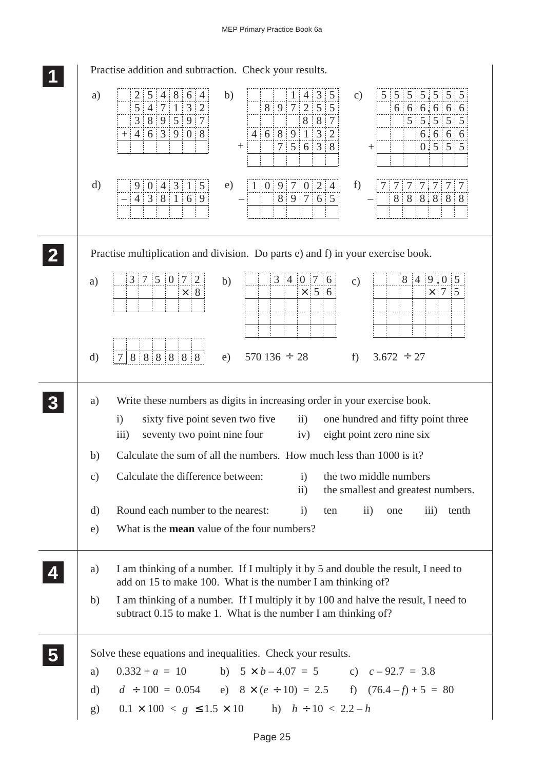| Practise addition and subtraction. Check your results.                                                                                                                                                                                                                                                                                          |
|-------------------------------------------------------------------------------------------------------------------------------------------------------------------------------------------------------------------------------------------------------------------------------------------------------------------------------------------------|
| 5 4 8 6 4<br>5 5 5 5 5 5 5<br>$4 \mid 3 \mid 5$<br>a)<br>b)<br>2:<br>1 <sup>1</sup><br>$\mathbf{c})$<br>5 4 7 1 3 2<br>8 9 7 2 5 5<br>6 66.6666<br>8 9 5 9 7<br>$5 \ 5 \ 5 \ 5 \ 5$<br>3 <sup>1</sup><br>$8 \t3 \t7$<br>4   6   8   9   1   3   2<br>$+ 4 6 3 9 0 8$<br>6, 6, 6, 6<br>$7 \t5 \t6 \t3 \t8$<br>$0.5 \,   5   5$<br>$^{+}$<br>$^+$ |
| $\mathbf{d}$<br>f)<br>1   0   9   7   0   2   4<br>9 0 4 3 1 5<br>e)<br>7 7 7 7 7 7 7<br>$4 \mid 3 \mid 8 \mid 1 \mid 6 \mid 9$<br>8 9 7 6 5<br>8   8   8, 8   8   8                                                                                                                                                                            |
| Practise multiplication and division. Do parts e) and f) in your exercise book.                                                                                                                                                                                                                                                                 |
| 3 7 5 0 7 2<br>$3 \mid 4 \mid 0 \mid 7 \mid 6$<br>$8 \mid 4 \mid 9 \mid 0 \mid 5$<br>b)<br>a)<br>c)<br>$\times$ 5 6<br>$\times$ 7 5<br>$\times$ 8                                                                                                                                                                                               |
| 888888<br>$570\,136 \div 28$<br>$f$ )<br>$3.672 \div 27$<br>$\mathbf{d}$<br>$\tau$<br>e)                                                                                                                                                                                                                                                        |
| Write these numbers as digits in increasing order in your exercise book.<br>a)<br>sixty five point seven two five ii)<br>one hundred and fifty point three<br>$\mathbf{i}$<br>eight point zero nine six<br>iii)<br>seventy two point nine four iv)                                                                                              |
| Calculate the sum of all the numbers. How much less than 1000 is it?<br>b)                                                                                                                                                                                                                                                                      |
| Calculate the difference between:<br>the two middle numbers<br>$\mathbf{c})$<br>$\ddot{1}$<br>the smallest and greatest numbers.<br>$\rm ii)$                                                                                                                                                                                                   |
| Round each number to the nearest:<br>$\rm ii)$<br>$\overline{\text{iii}}$<br>d)<br>i)<br>ten<br>tenth<br>one                                                                                                                                                                                                                                    |
| What is the <b>mean</b> value of the four numbers?<br>e)                                                                                                                                                                                                                                                                                        |
| I am thinking of a number. If I multiply it by 5 and double the result, I need to<br>a)<br>add on 15 to make 100. What is the number I am thinking of?                                                                                                                                                                                          |
| I am thinking of a number. If I multiply it by 100 and halve the result, I need to<br>b)<br>subtract 0.15 to make 1. What is the number I am thinking of?                                                                                                                                                                                       |
| Solve these equations and inequalities. Check your results.                                                                                                                                                                                                                                                                                     |
| $0.332 + a = 10$ b) $5 \times b - 4.07 = 5$ c) $c - 92.7 = 3.8$<br>a)                                                                                                                                                                                                                                                                           |
| $d \div 100 = 0.054$ e) $8 \times (e \div 10) = 2.5$ f) $(76.4 - f) + 5 = 80$<br>d)                                                                                                                                                                                                                                                             |
| $0.1 \times 100 < g \le 1.5 \times 10$ h) $h \div 10 < 2.2 - h$<br>g)                                                                                                                                                                                                                                                                           |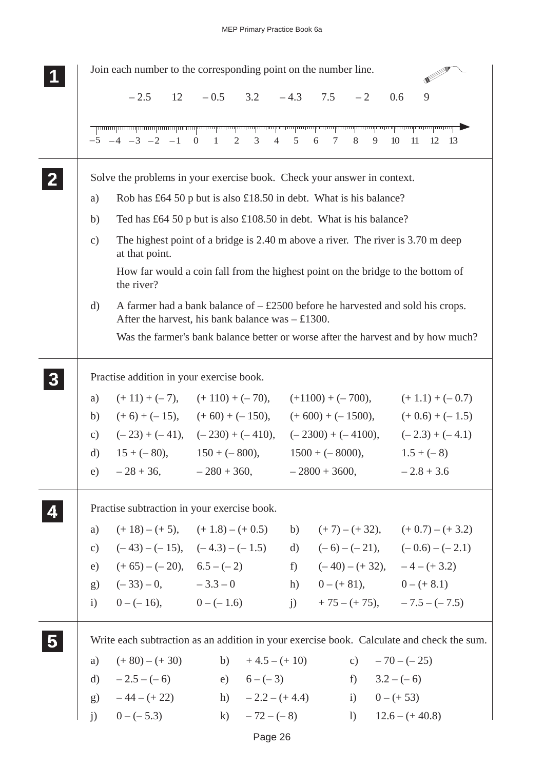

Page 26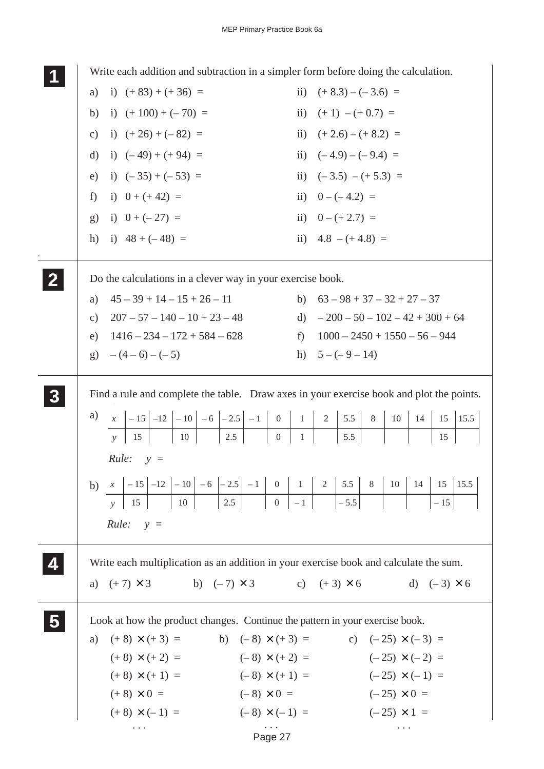|              | Write each addition and subtraction in a simpler form before doing the calculation.          |                                                                                          |  |  |  |  |  |
|--------------|----------------------------------------------------------------------------------------------|------------------------------------------------------------------------------------------|--|--|--|--|--|
|              | a) i) $(+ 83) + (+ 36) =$                                                                    | ii) $(+8.3) - (-3.6) =$                                                                  |  |  |  |  |  |
|              | b) i) $(+100) + (-70) =$                                                                     | ii) $(+1) - (+0.7) =$                                                                    |  |  |  |  |  |
|              | c) i) $(+26) + (-82) =$                                                                      | ii) $(+2.6) - (+8.2) =$                                                                  |  |  |  |  |  |
|              | d) i) $(-49) + (+94) =$                                                                      | ii) $(-4.9) - (-9.4) =$                                                                  |  |  |  |  |  |
|              | e) i) $(-35) + (-53) =$                                                                      | ii) $(-3.5) - (+5.3) =$                                                                  |  |  |  |  |  |
|              | f) i) $0 + (+42) =$                                                                          | ii) $0-(-4.2) =$                                                                         |  |  |  |  |  |
|              | g) i) $0 + (-27) =$                                                                          | ii) $0 - (+ 2.7) =$                                                                      |  |  |  |  |  |
|              | h) i) $48 + (-48) =$                                                                         | ii) $4.8 - (+4.8) =$                                                                     |  |  |  |  |  |
|              |                                                                                              |                                                                                          |  |  |  |  |  |
| $\mathbf{2}$ | Do the calculations in a clever way in your exercise book.                                   |                                                                                          |  |  |  |  |  |
|              | $45 - 39 + 14 - 15 + 26 - 11$<br>a)                                                          | b) $63 - 98 + 37 - 32 + 27 - 37$                                                         |  |  |  |  |  |
|              | c) $207 - 57 - 140 - 10 + 23 - 48$                                                           | d) $-200 - 50 - 102 - 42 + 300 + 64$                                                     |  |  |  |  |  |
|              | e) $1416 - 234 - 172 + 584 - 628$                                                            | f) $1000 - 2450 + 1550 - 56 - 944$                                                       |  |  |  |  |  |
|              | g) $-(4-6)-(-5)$                                                                             | h) $5-(-9-14)$                                                                           |  |  |  |  |  |
|              |                                                                                              |                                                                                          |  |  |  |  |  |
|              |                                                                                              | Find a rule and complete the table. Draw axes in your exercise book and plot the points. |  |  |  |  |  |
|              | a)<br>$x \mid -15 \mid -12 \mid -10 \mid -6 \mid -2.5 \mid -1 \mid 0 \mid 1 \mid 2 \mid 5.5$ | $10 \mid 14 \mid 15 \mid 15.5$<br>8                                                      |  |  |  |  |  |

|  |             |  |  |  |  | b) $x \mid -15 \mid -12 \mid -10 \mid -6 \mid -2.5 \mid -1 \mid 0 \mid 1 \mid 2 \mid 5.5 \mid 8 \mid 10 \mid 14 \mid 15 \mid 15.5 \mid$ |  |  |  |
|--|-------------|--|--|--|--|-----------------------------------------------------------------------------------------------------------------------------------------|--|--|--|
|  |             |  |  |  |  |                                                                                                                                         |  |  |  |
|  | $Rule: y =$ |  |  |  |  |                                                                                                                                         |  |  |  |

*y* | 15 | 10 | 2.5 | 0 | 1 | 5.5 | | | 15

**4 44 44** *Rule: y =*

Write each multiplication as an addition in your exercise book and calculate the sum.

|  | a) $(+7) \times 3$ | b) $(-7) \times 3$ | c) $(+3) \times 6$ |  | d) $(-3) \times 6$ |
|--|--------------------|--------------------|--------------------|--|--------------------|
|--|--------------------|--------------------|--------------------|--|--------------------|

**5 55 55**

Look at how the product changes. Continue the pattern in your exercise book.

Page 27 a)  $(+ 8) \times (+ 3) =$  b)  $(- 8) \times (+ 3) =$  c)  $(-25) \times (-3) =$  $(+ 8) \times (+ 2) =$   $(- 8) \times (+ 2) =$   $(- 25) \times (- 2) =$  $(+ 8) \times (+ 1) =$   $(- 8) \times (+ 1) =$   $(-25) \times (-1) =$  $(+ 8) \times 0 =$   $(- 8) \times 0 =$   $(-25) \times 0 =$  $(+ 8) \times (-1) =$   $(-8) \times (-1) =$   $(-25) \times 1 =$  . . . . . . . . .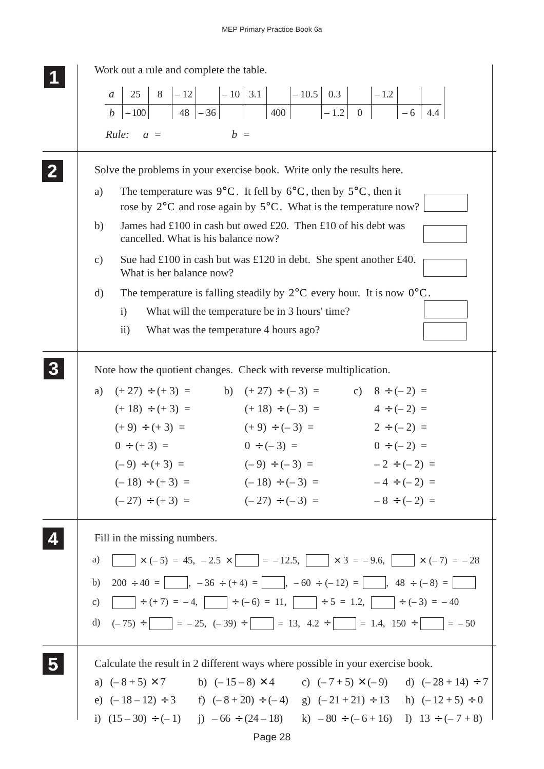| Work out a rule and complete the table.                                                                                                                                                           |
|---------------------------------------------------------------------------------------------------------------------------------------------------------------------------------------------------|
| 25<br>$\mathfrak{a}$                                                                                                                                                                              |
| $\begin{array}{ c c c c c c c c c c c } \hline 8 & -12 & -10 & 3.1 & -10.5 & 0.3 & -1.2 & \\ \hline & 48 & -36 & & 400 & -1.2 & 0 & -6 & 4. \hline \end{array}$<br>$\vert$ – 100<br>$\mathfrak b$ |
| Rule:<br>$b =$                                                                                                                                                                                    |
| $a =$                                                                                                                                                                                             |
| Solve the problems in your exercise book. Write only the results here.                                                                                                                            |
| The temperature was 9°C. It fell by $6^{\circ}$ C, then by $5^{\circ}$ C, then it<br>a)                                                                                                           |
| rose by $2^{\circ}$ C and rose again by $5^{\circ}$ C. What is the temperature now?                                                                                                               |
| James had £100 in cash but owed £20. Then £10 of his debt was<br>b)<br>cancelled. What is his balance now?                                                                                        |
| Sue had $\pounds 100$ in cash but was $\pounds 120$ in debt. She spent another $\pounds 40$ .<br>$\mathbf{c})$<br>What is her balance now?                                                        |
| The temperature is falling steadily by $2^{\circ}$ C every hour. It is now $0^{\circ}$ C.<br>d)                                                                                                   |
| What will the temperature be in 3 hours' time?<br>$\mathbf{i}$                                                                                                                                    |
| What was the temperature 4 hours ago?<br>$\overline{11}$ )                                                                                                                                        |
|                                                                                                                                                                                                   |
| Note how the quotient changes. Check with reverse multiplication.                                                                                                                                 |
| a) $(+27) \div (+3) =$ b) $(+27) \div (-3) =$ c) $8 \div (-2) =$                                                                                                                                  |
| $(+ 18) \div (+ 3) =$ $(+ 18) \div (-3) =$<br>$4 \div (-2) =$                                                                                                                                     |
| $(+ 9) \div (+ 3) =$ $(+ 9) \div (-3) =$ $2 \div (-2) =$                                                                                                                                          |
| $0 \div (+3) =$<br>$0 \div (-3) =$<br>$0 \div (-2) =$                                                                                                                                             |
| $(-9) \div (+3) =$ $(-9) \div (-3) =$ $-2 \div (-2) =$                                                                                                                                            |
| $(-18) \div (+3) =$ $(-18) \div (-3) =$ $-4 \div (-2) =$                                                                                                                                          |
| $(-27) \div (+3) =$ $(-27) \div (-3) =$ $-8 \div (-2) =$                                                                                                                                          |
| Fill in the missing numbers.                                                                                                                                                                      |
| $\times$ (-5) = 45, -2.5 $\times$ = -12.5, $\times$ $\times$ 3 = -9.6, $\times$ (-7) = -28<br>a)                                                                                                  |
|                                                                                                                                                                                                   |
| b) $200 \div 40 =$ , $-36 \div (+4) =$ , $-60 \div (-12) =$ , $-48 \div (-8) =$                                                                                                                   |
|                                                                                                                                                                                                   |
| d) $(-75) \div \boxed{\phantom{0}} = -25$ , $(-39) \div \boxed{\phantom{0}} = 13$ , $4.2 \div \boxed{\phantom{0}} = 1.4$ , $150 \div \boxed{\phantom{0}} = -50$                                   |
| Calculate the result in 2 different ways where possible in your exercise book.                                                                                                                    |
| a) $(-8+5) \times 7$ b) $(-15-8) \times 4$ c) $(-7+5) \times (-9)$ d) $(-28+14) \div 7$                                                                                                           |
| e) $(-18-12) \div 3$ f) $(-8+20) \div (-4)$ g) $(-21+21) \div 13$ h) $(-12+5) \div 0$                                                                                                             |
| i) $(15-30) \div (-1)$ j) $-66 \div (24-18)$ k) $-80 \div (-6+16)$ l) $13 \div (-7+8)$                                                                                                            |
|                                                                                                                                                                                                   |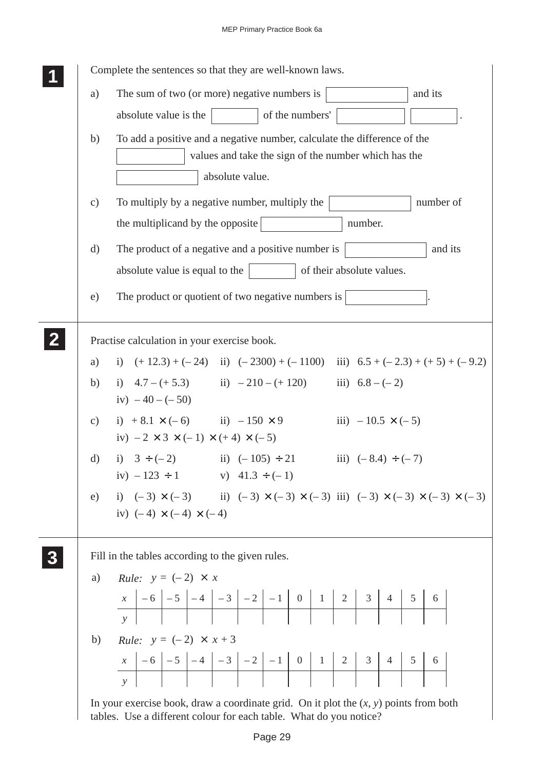|                 | Complete the sentences so that they are well-known laws.                                                                                                      |
|-----------------|---------------------------------------------------------------------------------------------------------------------------------------------------------------|
| a)              | The sum of two (or more) negative numbers is<br>and its                                                                                                       |
|                 | of the numbers'<br>absolute value is the                                                                                                                      |
| b)              | To add a positive and a negative number, calculate the difference of the<br>values and take the sign of the number which has the<br>absolute value.           |
|                 |                                                                                                                                                               |
| $\mathcal{C}$ ) | To multiply by a negative number, multiply the<br>number of<br>the multiplicand by the opposite<br>number.                                                    |
|                 |                                                                                                                                                               |
| $\mathbf{d}$    | The product of a negative and a positive number is<br>and its                                                                                                 |
|                 | of their absolute values.<br>absolute value is equal to the                                                                                                   |
| e)              | The product or quotient of two negative numbers is                                                                                                            |
|                 |                                                                                                                                                               |
|                 | Practise calculation in your exercise book.                                                                                                                   |
| a)              | i) $(+12.3) + (-24)$ ii) $(-2300) + (-1100)$ iii) $6.5 + (-2.3) + (+5) + (-9.2)$                                                                              |
| b)              | i) $4.7 - (+5.3)$ ii) $-210 - (+120)$ iii) $6.8 - (-2)$<br>iv) $-40 - (-50)$                                                                                  |
|                 | c) i) $+8.1 \times (-6)$ ii) $-150 \times 9$<br>iii) $-10.5 \times (-5)$<br>iv) $-2 \times 3 \times (-1) \times (+4) \times (-5)$                             |
| $\rm d)$        | i) $3 \div (-2)$ ii) $(-105) \div 21$<br>iii) $(-8.4) \div (-7)$                                                                                              |
|                 | iv) $-123 \div 1$ v) $41.3 \div (-1)$                                                                                                                         |
|                 | e) i) $(-3) \times (-3)$ ii) $(-3) \times (-3) \times (-3)$ iii) $(-3) \times (-3) \times (-3) \times (-3)$                                                   |
|                 | iv) $(-4) \times (-4) \times (-4)$                                                                                                                            |
|                 | Fill in the tables according to the given rules.                                                                                                              |
| a)              | <i>Rule:</i> $y = (-2) \times x$                                                                                                                              |
|                 |                                                                                                                                                               |
|                 |                                                                                                                                                               |
|                 | b) <i>Rule:</i> $y = (-2) \times x + 3$                                                                                                                       |
|                 |                                                                                                                                                               |
|                 |                                                                                                                                                               |
|                 | In your exercise book, draw a coordinate grid. On it plot the $(x, y)$ points from both<br>tables. Use a different colour for each table. What do you notice? |

 $\frac{1}{2}$ 

 $\overline{a}$ 

tables. Use a different colour for each table. What do you notice?